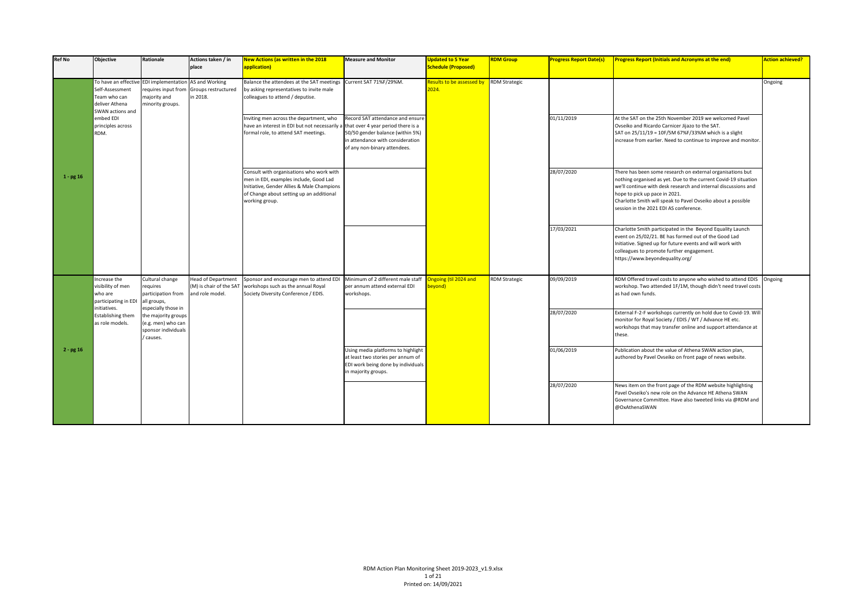| <b>Ref No</b> | Objective                                                                                                        | Rationale                                                                                          | Actions taken / in<br>place                                             | New Actions (as written in the 2018<br>application)                                                                                                                                            | <b>Measure and Monitor</b>                                                                                                                                                     | <b>Updated to 5 Year</b><br><b>Schedule (Proposed)</b> | <b>RDM Group</b>     | <b>Progress Report Date(s)</b> | <b>Progress Report (Initials and Acronyms at the end)</b>                                                                                                                                                                                                                                                                                  | Action achieved? |
|---------------|------------------------------------------------------------------------------------------------------------------|----------------------------------------------------------------------------------------------------|-------------------------------------------------------------------------|------------------------------------------------------------------------------------------------------------------------------------------------------------------------------------------------|--------------------------------------------------------------------------------------------------------------------------------------------------------------------------------|--------------------------------------------------------|----------------------|--------------------------------|--------------------------------------------------------------------------------------------------------------------------------------------------------------------------------------------------------------------------------------------------------------------------------------------------------------------------------------------|------------------|
|               | To have an effective EDI implementation<br>Self-Assessment<br>Team who can<br>deliver Athena<br>SWAN actions and | requires input from<br>majority and<br>minority groups.                                            | AS and Working<br>Groups restructured<br>in 2018.                       | Balance the attendees at the SAT meetings Current SAT 71%F/29%M.<br>by asking representatives to invite male<br>colleagues to attend / deputise.                                               |                                                                                                                                                                                | Results to be assessed by<br>2024.                     | <b>RDM Strategic</b> |                                |                                                                                                                                                                                                                                                                                                                                            | Ongoing          |
|               | embed EDI<br>principles across<br>RDM.                                                                           |                                                                                                    |                                                                         | Inviting men across the department, who<br>have an interest in EDI but not necessarily<br>formal role, to attend SAT meetings.                                                                 | Record SAT attendance and ensure<br>that over 4 year period there is a<br>50/50 gender balance (within 5%)<br>in attendance with consideration<br>of any non-binary attendees. |                                                        |                      | 01/11/2019                     | At the SAT on the 25th November 2019 we welcomed Pavel<br>Ovseiko and Ricardo Carnicer Jijazo to the SAT.<br>SAT on 25/11/19 = 10F/5M 67%F/33%M which is a slight<br>increase from earlier. Need to continue to improve and monitor.                                                                                                       |                  |
| $1 - pg 16$   |                                                                                                                  |                                                                                                    |                                                                         | Consult with organisations who work with<br>men in EDI, examples include, Good Lad<br>Initiative, Gender Allies & Male Champions<br>of Change about setting up an additional<br>working group. |                                                                                                                                                                                |                                                        |                      | 28/07/2020                     | There has been some research on external organisations but<br>nothing organised as yet. Due to the current Covid-19 situation<br>we'll continue with desk research and internal discussions and<br>hope to pick up pace in 2021.<br>Charlotte Smith will speak to Pavel Ovseiko about a possible<br>session in the 2021 EDI AS conference. |                  |
|               |                                                                                                                  |                                                                                                    |                                                                         |                                                                                                                                                                                                |                                                                                                                                                                                |                                                        |                      | 17/03/2021                     | Charlotte Smith participated in the Beyond Equality Launch<br>event on 25/02/21. BE has formed out of the Good Lad<br>Initiative. Signed up for future events and will work with<br>colleagues to promote further engagement.<br>https://www.beyondequality.org/                                                                           |                  |
|               | Increase the<br>visibility of men<br>who are<br>participating in EDI                                             | Cultural change<br>requires<br>participation from<br>all groups,                                   | <b>Head of Department</b><br>(M) is chair of the SAT<br>and role model. | Sponsor and encourage men to attend ED<br>workshops such as the annual Royal<br>Society Diversity Conference / EDIS.                                                                           | Minimum of 2 different male staff<br>per annum attend external EDI<br>workshops.                                                                                               | ngoing (til 2024 and<br>eyond)                         | <b>RDM Strategic</b> | 09/09/2019                     | RDM Offered travel costs to anyone who wished to attend EDIS<br>workshop. Two attended 1F/1M, though didn't need travel costs<br>as had own funds.                                                                                                                                                                                         | Ongoing          |
|               | initiatives.<br><b>Establishing them</b><br>as role models.                                                      | especially those in<br>the majority groups<br>(e.g. men) who can<br>sponsor individuals<br>causes. |                                                                         |                                                                                                                                                                                                |                                                                                                                                                                                |                                                        |                      | 28/07/2020                     | External F-2-F workshops currently on hold due to Covid-19. Will<br>monitor for Royal Society / EDIS / WT / Advance HE etc.<br>workshops that may transfer online and support attendance at<br>these.                                                                                                                                      |                  |
| $2 - pg 16$   |                                                                                                                  |                                                                                                    |                                                                         |                                                                                                                                                                                                | Using media platforms to highlight<br>at least two stories per annum of<br>EDI work being done by individuals<br>in majority groups.                                           |                                                        |                      | 01/06/2019                     | Publication about the value of Athena SWAN action plan,<br>authored by Pavel Ovseiko on front page of news website.                                                                                                                                                                                                                        |                  |
|               |                                                                                                                  |                                                                                                    |                                                                         |                                                                                                                                                                                                |                                                                                                                                                                                |                                                        |                      | 28/07/2020                     | News item on the front page of the RDM website highlighting<br>Pavel Ovseiko's new role on the Advance HE Athena SWAN<br>Governance Committee. Have also tweeted links via @RDM and<br>@OxAthenaSWAN                                                                                                                                       |                  |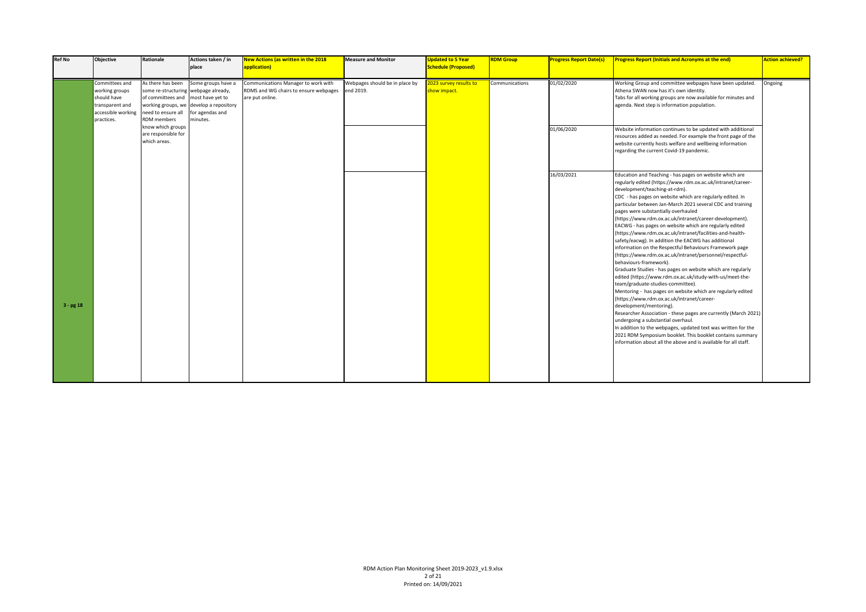| <b>Ref No</b> | <b>Objective</b>                                                                                       | Rationale                                                                                                                                   | Actions taken / in<br>place                                                                  | <b>New Actions (as written in the 2018</b><br>application)                                      | <b>Measure and Monitor</b>                  | <b>Updated to 5 Year</b><br><b>Schedule (Proposed)</b> | <b>RDM Group</b> | <b>Progress Report Date(s)</b> | <b>Progress Report (Initials and Acronyms at the end)</b>                                                                                                                                                                                                                                                                                                                                                                                                                                                                                                                                                                                                                                                                                                                                                                                                                                                                                                                                                                                                                                                                                                                                                                                                                                                                              | <b>Action achieved?</b> |
|---------------|--------------------------------------------------------------------------------------------------------|---------------------------------------------------------------------------------------------------------------------------------------------|----------------------------------------------------------------------------------------------|-------------------------------------------------------------------------------------------------|---------------------------------------------|--------------------------------------------------------|------------------|--------------------------------|----------------------------------------------------------------------------------------------------------------------------------------------------------------------------------------------------------------------------------------------------------------------------------------------------------------------------------------------------------------------------------------------------------------------------------------------------------------------------------------------------------------------------------------------------------------------------------------------------------------------------------------------------------------------------------------------------------------------------------------------------------------------------------------------------------------------------------------------------------------------------------------------------------------------------------------------------------------------------------------------------------------------------------------------------------------------------------------------------------------------------------------------------------------------------------------------------------------------------------------------------------------------------------------------------------------------------------------|-------------------------|
|               | Committees and<br>working groups<br>should have<br>transparent and<br>accessible working<br>practices. | As there has been<br>some re-structuring webpage already,<br>of committees and most have yet to<br>need to ensure all<br><b>RDM</b> members | Some groups have a<br>working groups, we develop a repository<br>for agendas and<br>minutes. | Communications Manager to work with<br>RDMS and WG chairs to ensure webpages<br>are put online. | Webpages should be in place by<br>end 2019. | 2023 survey results to<br>show impact.                 | Communications   | 01/02/2020                     | Working Group and committee webpages have been updated.<br>Athena SWAN now has it's own identity.<br>Tabs for all working groups are now available for minutes and<br>agenda. Next step is information population.                                                                                                                                                                                                                                                                                                                                                                                                                                                                                                                                                                                                                                                                                                                                                                                                                                                                                                                                                                                                                                                                                                                     | Ongoing                 |
|               |                                                                                                        | know which groups<br>are responsible for<br>which areas.                                                                                    |                                                                                              |                                                                                                 |                                             |                                                        |                  | 01/06/2020                     | Website information continues to be updated with additional<br>resources added as needed. For example the front page of the<br>website currently hosts welfare and wellbeing information<br>regarding the current Covid-19 pandemic.                                                                                                                                                                                                                                                                                                                                                                                                                                                                                                                                                                                                                                                                                                                                                                                                                                                                                                                                                                                                                                                                                                   |                         |
| $3 - pg18$    |                                                                                                        |                                                                                                                                             |                                                                                              |                                                                                                 |                                             |                                                        |                  | 16/03/2021                     | Education and Teaching - has pages on website which are<br>regularly edited (https://www.rdm.ox.ac.uk/intranet/career-<br>development/teaching-at-rdm).<br>CDC - has pages on website which are regularly edited. In<br>particular between Jan-March 2021 several CDC and training<br>pages were substantially overhauled<br>(https://www.rdm.ox.ac.uk/intranet/career-development).<br>EACWG - has pages on website which are regularly edited<br>(https://www.rdm.ox.ac.uk/intranet/facilities-and-health-<br>safety/eacwg). In addition the EACWG has additional<br>information on the Respectful Behaviours Framework page<br>(https://www.rdm.ox.ac.uk/intranet/personnel/respectful-<br>behaviours-framework).<br>Graduate Studies - has pages on website which are regularly<br>edited (https://www.rdm.ox.ac.uk/study-with-us/meet-the-<br>team/graduate-studies-committee).<br>Mentoring - has pages on website which are regularly edited<br>(https://www.rdm.ox.ac.uk/intranet/career-<br>development/mentoring).<br>Researcher Association - these pages are currently (March 2021)<br>undergoing a substantial overhaul.<br>In addition to the webpages, updated text was written for the<br>2021 RDM Symposium booklet. This booklet contains summary<br>information about all the above and is available for all staff. |                         |
|               |                                                                                                        |                                                                                                                                             |                                                                                              |                                                                                                 |                                             |                                                        |                  |                                |                                                                                                                                                                                                                                                                                                                                                                                                                                                                                                                                                                                                                                                                                                                                                                                                                                                                                                                                                                                                                                                                                                                                                                                                                                                                                                                                        |                         |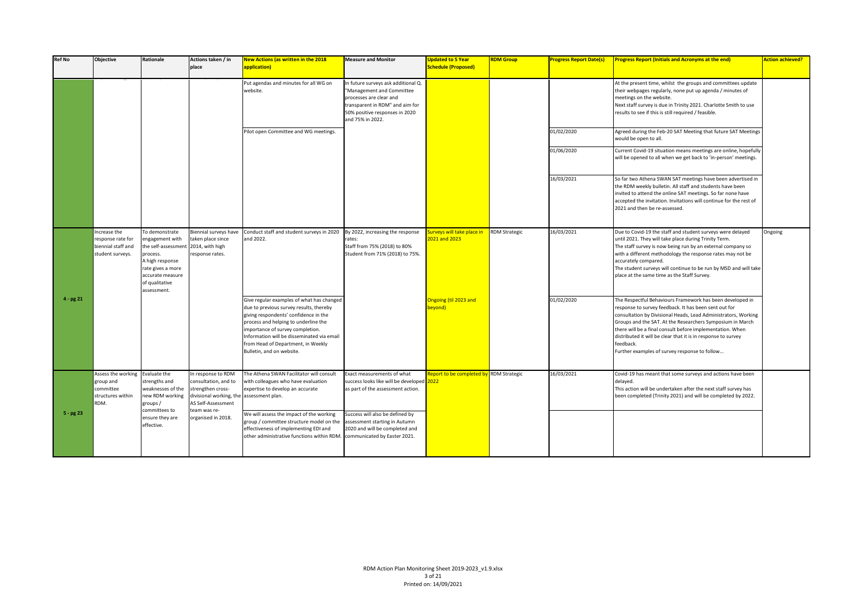| <b>Ref No</b> | <b>Objective</b>                                                            | Rationale                                                                                                                                                                        | Actions taken / in<br>place                                                                                      | New Actions (as written in the 2018<br>application)                                                                                                                                                                                                                                                                        | <b>Measure and Monitor</b>                                                                                                                                                           | <b>Updated to 5 Year</b><br><b>Schedule (Proposed)</b> | <b>RDM Group</b>     | <b>Progress Report Date(s)</b> | <b>Progress Report (Initials and Acronyms at the end)</b>                                                                                                                                                                                                                                                                                                                                                                                     | <b>Action achieved?</b> |
|---------------|-----------------------------------------------------------------------------|----------------------------------------------------------------------------------------------------------------------------------------------------------------------------------|------------------------------------------------------------------------------------------------------------------|----------------------------------------------------------------------------------------------------------------------------------------------------------------------------------------------------------------------------------------------------------------------------------------------------------------------------|--------------------------------------------------------------------------------------------------------------------------------------------------------------------------------------|--------------------------------------------------------|----------------------|--------------------------------|-----------------------------------------------------------------------------------------------------------------------------------------------------------------------------------------------------------------------------------------------------------------------------------------------------------------------------------------------------------------------------------------------------------------------------------------------|-------------------------|
|               |                                                                             |                                                                                                                                                                                  |                                                                                                                  | Put agendas and minutes for all WG on<br>website.                                                                                                                                                                                                                                                                          | In future surveys ask additional Q.<br>'Management and Committee<br>processes are clear and<br>transparent in RDM" and aim for<br>50% positive responses in 2020<br>and 75% in 2022. |                                                        |                      |                                | At the present time, whilst the groups and committees update<br>their webpages regularly, none put up agenda / minutes of<br>meetings on the website.<br>Next staff survey is due in Trinity 2021. Charlotte Smith to use<br>results to see if this is still required / feasible.                                                                                                                                                             |                         |
|               |                                                                             |                                                                                                                                                                                  |                                                                                                                  | Pilot open Committee and WG meetings.                                                                                                                                                                                                                                                                                      |                                                                                                                                                                                      |                                                        |                      | 01/02/2020                     | Agreed during the Feb-20 SAT Meeting that future SAT Meetings<br>would be open to all.                                                                                                                                                                                                                                                                                                                                                        |                         |
|               |                                                                             |                                                                                                                                                                                  |                                                                                                                  |                                                                                                                                                                                                                                                                                                                            |                                                                                                                                                                                      |                                                        |                      | 01/06/2020                     | Current Covid-19 situation means meetings are online, hopefully<br>will be opened to all when we get back to 'in-person' meetings.                                                                                                                                                                                                                                                                                                            |                         |
|               |                                                                             |                                                                                                                                                                                  |                                                                                                                  |                                                                                                                                                                                                                                                                                                                            |                                                                                                                                                                                      |                                                        |                      | 16/03/2021                     | So far two Athena SWAN SAT meetings have been advertised in<br>the RDM weekly bulletin. All staff and students have been<br>invited to attend the online SAT meetings. So far none have<br>accepted the invitation. Invitations will continue for the rest of<br>2021 and then be re-assessed.                                                                                                                                                |                         |
|               | Increase the<br>response rate for<br>biennial staff and<br>student surveys. | o demonstrate<br>engagement with<br>the self-assessment 2014, with high<br>process.<br>A high response<br>rate gives a more<br>accurate measure<br>of qualitative<br>assessment. | Biennial surveys have<br>taken place since<br>response rates.                                                    | Conduct staff and student surveys in 2020<br>and 2022.                                                                                                                                                                                                                                                                     | By 2022, increasing the response<br>rates:<br>Staff from 75% (2018) to 80%<br>Student from 71% (2018) to 75%.                                                                        | urveys will take place in<br>2021 and 2023             | <b>RDM Strategic</b> | 16/03/2021                     | Due to Covid-19 the staff and student surveys were delayed<br>until 2021. They will take place during Trinity Term.<br>The staff survey is now being run by an external company so<br>with a different methodology the response rates may not be<br>accurately compared.<br>The student surveys will continue to be run by MSD and will take<br>place at the same time as the Staff Survey.                                                   | Ongoing                 |
| $4 - pg 21$   |                                                                             |                                                                                                                                                                                  |                                                                                                                  | Give regular examples of what has changed<br>due to previous survey results, thereby<br>giving respondents' confidence in the<br>process and helping to underline the<br>importance of survey completion.<br>Information will be disseminated via email<br>from Head of Department, in Weekly<br>Bulletin, and on website. |                                                                                                                                                                                      | Ongoing (til 2023 and<br>beyond)                       |                      | 01/02/2020                     | The Respectful Behaviours Framework has been developed in<br>response to survey feedback. It has been sent out for<br>consultation by Divisional Heads, Lead Administrators, Working<br>Groups and the SAT. At the Researchers Symposium in March<br>there will be a final consult before implementation. When<br>distributed it will be clear that it is in response to survey<br>feedback.<br>Further examples of survey response to follow |                         |
|               | Assess the working<br>group and<br>committee<br>structures within<br>RDM.   | Evaluate the<br>strengths and<br>weaknesses of the<br>new RDM working<br>groups/                                                                                                 | In response to RDM<br>consultation, and to<br>strengthen cross-<br>divisional working, the<br>AS Self-Assessment | The Athena SWAN Facilitator will consult<br>with colleagues who have evaluation<br>expertise to develop an accurate<br>assessment plan.                                                                                                                                                                                    | Exact measurements of what<br>success looks like will be developed 2022<br>as part of the assessment action.                                                                         | Report to be completed by RDM Strategic                |                      | 16/03/2021                     | Covid-19 has meant that some surveys and actions have been<br>delayed.<br>This action will be undertaken after the next staff survey has<br>been completed (Trinity 2021) and will be completed by 2022.                                                                                                                                                                                                                                      |                         |
| $5 - pg23$    |                                                                             | committees to<br>ensure they are<br>effective.                                                                                                                                   | team was re-<br>organised in 2018.                                                                               | We will assess the impact of the working<br>group / committee structure model on the<br>effectiveness of implementing EDI and<br>other administrative functions within RDM                                                                                                                                                 | Success will also be defined by<br>assessment starting in Autumn<br>2020 and will be completed and<br>communicated by Easter 2021.                                                   |                                                        |                      |                                |                                                                                                                                                                                                                                                                                                                                                                                                                                               |                         |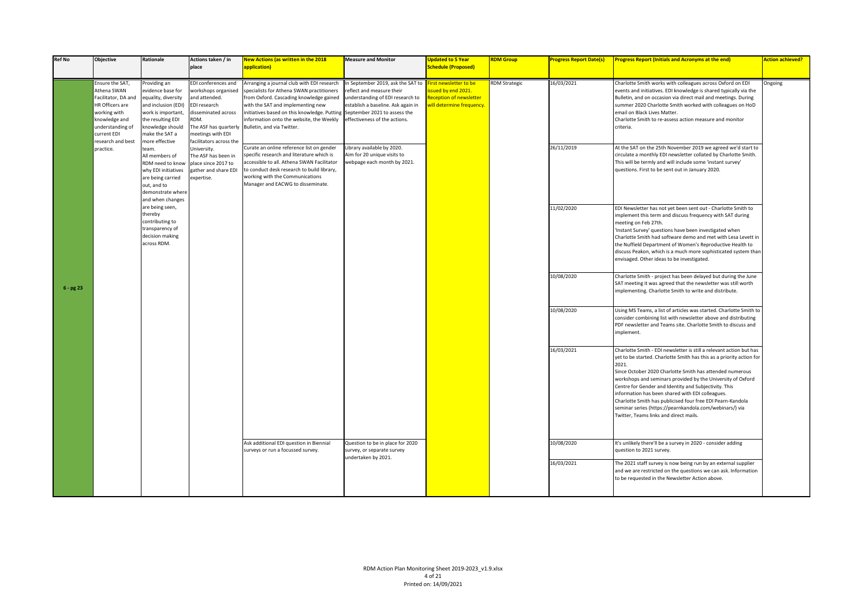| <b>Ref No</b> | <b>Objective</b>                                                                                                                                                  | Rationale                                                                                                                                                                          | Actions taken / in<br>place                                                                                                                                                         | <b>New Actions (as written in the 2018</b><br>application)                                                                                                                                                                                                                                      | <b>Measure and Monitor</b>                                                                                                                                                                                | <b>Updated to 5 Year</b><br><b>Schedule (Proposed)</b>                                             | <b>RDM Group</b>     | <b>Progress Report Date(s)</b> | <b>Progress Report (Initials and Acronyms at the end)</b>                                                                                                                                                                                                                                                                                                                                                                                                                                                                                                       | <b>Action achieved?</b> |
|---------------|-------------------------------------------------------------------------------------------------------------------------------------------------------------------|------------------------------------------------------------------------------------------------------------------------------------------------------------------------------------|-------------------------------------------------------------------------------------------------------------------------------------------------------------------------------------|-------------------------------------------------------------------------------------------------------------------------------------------------------------------------------------------------------------------------------------------------------------------------------------------------|-----------------------------------------------------------------------------------------------------------------------------------------------------------------------------------------------------------|----------------------------------------------------------------------------------------------------|----------------------|--------------------------------|-----------------------------------------------------------------------------------------------------------------------------------------------------------------------------------------------------------------------------------------------------------------------------------------------------------------------------------------------------------------------------------------------------------------------------------------------------------------------------------------------------------------------------------------------------------------|-------------------------|
|               | Ensure the SAT,<br>Athena SWAN<br>Facilitator, DA and<br>HR Officers are<br>working with<br>knowledge and<br>understanding of<br>current EDI<br>research and best | Providing an<br>evidence base for<br>equality, diversity<br>and inclusion (EDI)<br>work is important,<br>the resulting EDI<br>knowledge should<br>make the SAT a<br>more effective | EDI conferences and<br>workshops organised<br>and attended.<br>EDI research<br>disseminated across<br>RDM.<br>The ASF has quarterly<br>meetings with EDI<br>facilitators across the | Arranging a journal club with EDI research<br>pecialists for Athena SWAN practitioners<br>from Oxford. Cascading knowledge gained<br>with the SAT and implementing new<br>initiatives based on this knowledge. Puttin<br>information onto the website, the Weekly<br>Bulletin, and via Twitter. | In September 2019, ask the SAT to<br>reflect and measure their<br>understanding of EDI research to<br>establish a baseline. Ask again in<br>September 2021 to assess the<br>effectiveness of the actions. | irst newsletter to be<br>sued by end 2021.<br>leception of newsletter<br>vill determine frequency. | <b>RDM Strategic</b> | 16/03/2021                     | Charlotte Smith works with colleagues across Oxford on EDI<br>events and initiatives. EDI knowledge is shared typically via the<br>Bulletin, and on occasion via direct mail and meetings. During<br>summer 2020 Charlotte Smith worked with colleagues on HoD<br>email on Black Lives Matter.<br>Charlotte Smith to re-assess action measure and monitor<br>criteria.                                                                                                                                                                                          | Ongoing                 |
|               | practice.                                                                                                                                                         | team.<br>All members of<br>RDM need to know<br>why EDI initiatives<br>are being carried<br>out, and to<br>demonstrate where<br>and when changes                                    | University.<br>The ASF has been in<br>place since 2017 to<br>gather and share EDI<br>expertise.                                                                                     | Curate an online reference list on gender<br>specific research and literature which is<br>accessible to all. Athena SWAN Facilitator<br>to conduct desk research to build library,<br>working with the Communications<br>Manager and EACWG to disseminate.                                      | Library available by 2020.<br>Aim for 20 unique visits to<br>webpage each month by 2021.                                                                                                                  |                                                                                                    |                      | 26/11/2019                     | At the SAT on the 25th November 2019 we agreed we'd start to<br>circulate a monthly EDI newsletter collated by Charlotte Smith.<br>This will be termly and will include some 'instant survey'<br>questions. First to be sent out in January 2020.                                                                                                                                                                                                                                                                                                               |                         |
|               |                                                                                                                                                                   | are being seen,<br>thereby<br>contributing to<br>transparency of<br>decision making<br>across RDM.                                                                                 |                                                                                                                                                                                     |                                                                                                                                                                                                                                                                                                 |                                                                                                                                                                                                           |                                                                                                    |                      | 11/02/2020                     | EDI Newsletter has not yet been sent out - Charlotte Smith to<br>implement this term and discuss frequency with SAT during<br>meeting on Feb 27th.<br>'Instant Survey' questions have been investigated when<br>Charlotte Smith had software demo and met with Lesa Levett in<br>the Nuffield Department of Women's Reproductive Health to<br>discuss Peakon, which is a much more sophisticated system than<br>envisaged. Other ideas to be investigated.                                                                                                      |                         |
| 6 - pg 23     |                                                                                                                                                                   |                                                                                                                                                                                    |                                                                                                                                                                                     |                                                                                                                                                                                                                                                                                                 |                                                                                                                                                                                                           |                                                                                                    |                      | 10/08/2020                     | Charlotte Smith - project has been delayed but during the June<br>SAT meeting it was agreed that the newsletter was still worth<br>implementing. Charlotte Smith to write and distribute.                                                                                                                                                                                                                                                                                                                                                                       |                         |
|               |                                                                                                                                                                   |                                                                                                                                                                                    |                                                                                                                                                                                     |                                                                                                                                                                                                                                                                                                 |                                                                                                                                                                                                           |                                                                                                    |                      | 10/08/2020                     | Using MS Teams, a list of articles was started. Charlotte Smith to<br>consider combining list with newsletter above and distributing<br>PDF newsletter and Teams site. Charlotte Smith to discuss and<br>implement.                                                                                                                                                                                                                                                                                                                                             |                         |
|               |                                                                                                                                                                   |                                                                                                                                                                                    |                                                                                                                                                                                     |                                                                                                                                                                                                                                                                                                 |                                                                                                                                                                                                           |                                                                                                    |                      | 16/03/2021                     | Charlotte Smith - EDI newsletter is still a relevant action but has<br>yet to be started. Charlotte Smith has this as a priority action for<br>2021.<br>Since October 2020 Charlotte Smith has attended numerous<br>workshops and seminars provided by the University of Oxford<br>Centre for Gender and Identity and Subjectivity. This<br>information has been shared with EDI colleagues.<br>Charlotte Smith has publicised four free EDI Pearn-Kandola<br>seminar series (https://pearnkandola.com/webinars/) via<br>Twitter, Teams links and direct mails. |                         |
|               |                                                                                                                                                                   |                                                                                                                                                                                    |                                                                                                                                                                                     | Ask additional EDI question in Biennial<br>surveys or run a focussed survey.                                                                                                                                                                                                                    | Question to be in place for 2020<br>survey, or separate survey<br>undertaken by 2021.                                                                                                                     |                                                                                                    |                      | 10/08/2020                     | It's unlikely there'll be a survey in 2020 - consider adding<br>question to 2021 survey.                                                                                                                                                                                                                                                                                                                                                                                                                                                                        |                         |
|               |                                                                                                                                                                   |                                                                                                                                                                                    |                                                                                                                                                                                     |                                                                                                                                                                                                                                                                                                 |                                                                                                                                                                                                           |                                                                                                    |                      | 16/03/2021                     | The 2021 staff survey is now being run by an external supplier<br>and we are restricted on the questions we can ask. Information<br>to be requested in the Newsletter Action above.                                                                                                                                                                                                                                                                                                                                                                             |                         |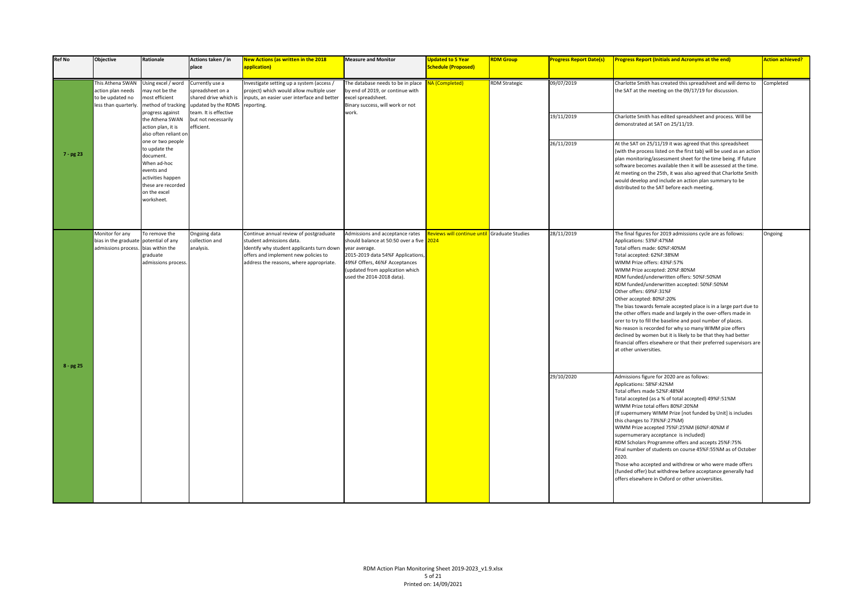| <b>Ref No</b> | Objective                                                                                       | Rationale                                                                                                                                             | Actions taken / in<br>place                                                                                       | <b>New Actions (as written in the 2018</b><br>application)                                                                                                                                         | <b>Measure and Monitor</b>                                                                                                                                                                                                    | <b>Updated to 5 Year</b><br><b>Schedule (Proposed)</b> | <b>RDM Group</b>     | <b>Progress Report Date(s)</b> | <b>Progress Report (Initials and Acronyms at the end)</b>                                                                                                                                                                                                                                                                                                                                                                                                                                                                                                                                                                                                                                                                                                                                             | <b>Action achieved?</b> |
|---------------|-------------------------------------------------------------------------------------------------|-------------------------------------------------------------------------------------------------------------------------------------------------------|-------------------------------------------------------------------------------------------------------------------|----------------------------------------------------------------------------------------------------------------------------------------------------------------------------------------------------|-------------------------------------------------------------------------------------------------------------------------------------------------------------------------------------------------------------------------------|--------------------------------------------------------|----------------------|--------------------------------|-------------------------------------------------------------------------------------------------------------------------------------------------------------------------------------------------------------------------------------------------------------------------------------------------------------------------------------------------------------------------------------------------------------------------------------------------------------------------------------------------------------------------------------------------------------------------------------------------------------------------------------------------------------------------------------------------------------------------------------------------------------------------------------------------------|-------------------------|
|               | This Athena SWAN<br>action plan needs<br>to be updated no<br>less than quarterly.               | Using excel / word<br>nay not be the<br>most efficient                                                                                                | Currently use a<br>spreadsheet on a<br>shared drive which is<br>method of tracking updated by the RDMS reporting. | nvestigate setting up a system (access /<br>project) which would allow multiple user<br>nputs, an easier user interface and better                                                                 | The database needs to be in place NA (Completed)<br>by end of 2019, or continue with<br>excel spreadsheet.<br>Binary success, will work or not                                                                                |                                                        | <b>RDM Strategic</b> | 09/07/2019                     | Charlotte Smith has created this spreadsheet and will demo to<br>the SAT at the meeting on the 09/17/19 for discussion.                                                                                                                                                                                                                                                                                                                                                                                                                                                                                                                                                                                                                                                                               | Completed               |
|               |                                                                                                 | progress against<br>the Athena SWAN<br>action plan, it is<br>also often reliant or                                                                    | team. It is effective<br>but not necessarily<br>efficient.                                                        |                                                                                                                                                                                                    | work.                                                                                                                                                                                                                         |                                                        |                      | 19/11/2019                     | Charlotte Smith has edited spreadsheet and process. Will be<br>demonstrated at SAT on 25/11/19.                                                                                                                                                                                                                                                                                                                                                                                                                                                                                                                                                                                                                                                                                                       |                         |
| 7 - pg 23     |                                                                                                 | one or two people<br>to update the<br>document.<br>When ad-hoc<br>events and<br>activities happen<br>these are recorded<br>on the excel<br>worksheet. |                                                                                                                   |                                                                                                                                                                                                    |                                                                                                                                                                                                                               |                                                        |                      | 26/11/2019                     | At the SAT on 25/11/19 it was agreed that this spreadsheet<br>(with the process listed on the first tab) will be used as an action<br>plan monitoring/assessment sheet for the time being. If future<br>software becomes available then it will be assessed at the time.<br>At meeting on the 25th, it was also agreed that Charlotte Smith<br>would develop and include an action plan summary to be<br>distributed to the SAT before each meeting.                                                                                                                                                                                                                                                                                                                                                  |                         |
| $8 - pg25$    | Monitor for any<br>bias in the graduate potential of any<br>admissions process. bias within the | To remove the<br>graduate<br>admissions process.                                                                                                      | Ongoing data<br>collection and<br>analysis.                                                                       | Continue annual review of postgraduate<br>student admissions data.<br>Identify why student applicants turn down<br>offers and implement new policies to<br>address the reasons, where appropriate. | Admissions and acceptance rates<br>should balance at 50:50 over a five<br>year average.<br>2015-2019 data 54%F Applications,<br>49%F Offers, 46%F Acceptances<br>(updated from application which<br>used the 2014-2018 data). | eviews will continue until Graduate Studies<br>024     |                      | 28/11/2019                     | The final figures for 2019 admissions cycle are as follows:<br>Applications: 53%F:47%M<br>Total offers made: 60%F:40%M<br>Total accepted: 62%F:38%M<br>WIMM Prize offers: 43%F:57%<br>WIMM Prize accepted: 20%F:80%M<br>RDM funded/underwritten offers: 50%F:50%M<br>RDM funded/underwritten accepted: 50%F:50%M<br>Other offers: 69%F:31%F<br>Other accepted: 80%F:20%<br>The bias towards female accepted place is in a large part due to<br>the other offers made and largely in the over-offers made in<br>orer to try to fill the baseline and pool number of places.<br>No reason is recorded for why so many WIMM pize offers<br>declined by women but it is likely to be that they had better<br>financial offers elsewhere or that their preferred supervisors are<br>at other universities. | Ongoing                 |
|               |                                                                                                 |                                                                                                                                                       |                                                                                                                   |                                                                                                                                                                                                    |                                                                                                                                                                                                                               |                                                        |                      | 29/10/2020                     | Admissions figure for 2020 are as follows:<br>Applications: 58%F:42%M<br>Total offers made 52%F:48%M<br>Total accepted (as a % of total accepted) 49%F:51%M<br>WIMM Prize total offers 80%F:20%M<br>(If supernumery WIMM Prize [not funded by Unit] is includes<br>this changes to 73%%F:27%M)<br>WIMM Prize accepted 75%F:25%M (60%F:40%M if<br>supernumerary acceptance is included)<br>RDM Scholars Programme offers and accepts 25%F:75%<br>Final number of students on course 45%F:55%M as of October<br>2020.<br>Those who accepted and withdrew or who were made offers<br>(funded offer) but withdrew before acceptance generally had<br>offers elsewhere in Oxford or other universities.                                                                                                    |                         |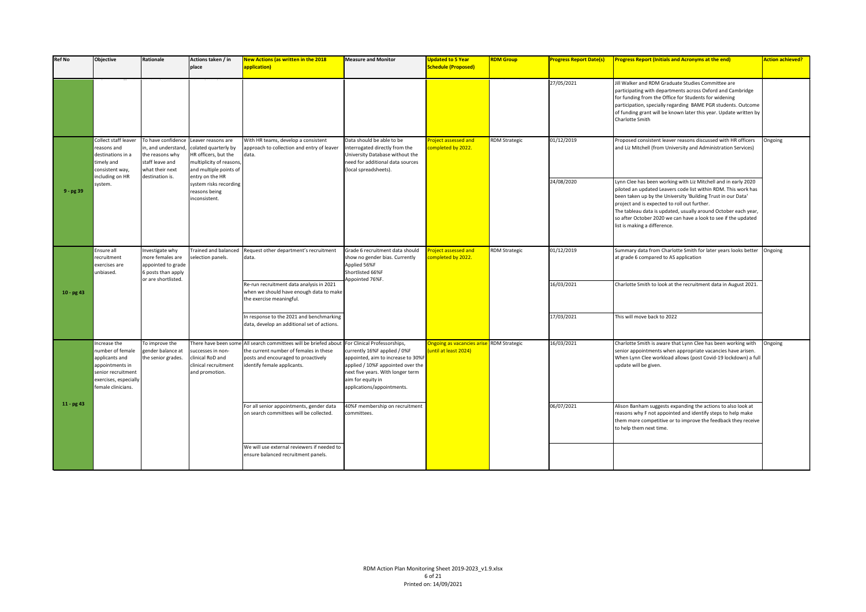| <b>Ref No</b> | <b>Objective</b>                                                                                                                           | Rationale                                                                                                            | Actions taken / in<br>place                                                                                                                | New Actions (as written in the 2018<br>application)                                                                                                         | <b>Measure and Monitor</b>                                                                                                                                                                                                      | <b>Updated to 5 Year</b><br><b>Schedule (Proposed)</b>    | <b>RDM Group</b>     | <b>Progress Report Date(s)</b> | <b>Progress Report (Initials and Acronyms at the end)</b>                                                                                                                                                                                                                                                                                                                                                            | <b>Action achieved?</b> |
|---------------|--------------------------------------------------------------------------------------------------------------------------------------------|----------------------------------------------------------------------------------------------------------------------|--------------------------------------------------------------------------------------------------------------------------------------------|-------------------------------------------------------------------------------------------------------------------------------------------------------------|---------------------------------------------------------------------------------------------------------------------------------------------------------------------------------------------------------------------------------|-----------------------------------------------------------|----------------------|--------------------------------|----------------------------------------------------------------------------------------------------------------------------------------------------------------------------------------------------------------------------------------------------------------------------------------------------------------------------------------------------------------------------------------------------------------------|-------------------------|
|               |                                                                                                                                            |                                                                                                                      |                                                                                                                                            |                                                                                                                                                             |                                                                                                                                                                                                                                 |                                                           |                      | 27/05/2021                     | Jill Walker and RDM Graduate Studies Committee are<br>participating with departments across Oxford and Cambridge<br>for funding from the Office for Students for widening<br>participation, specially regarding BAME PGR students. Outcome<br>of funding grant will be known later this year. Update written by<br>Charlotte Smith                                                                                   |                         |
|               | Collect staff leaver<br>reasons and<br>destinations in a<br>timely and<br>consistent way,<br>including on HR                               | To have confidence<br>in, and understand<br>the reasons why<br>staff leave and<br>what their next<br>destination is. | Leaver reasons are<br>colated quarterly by<br>HR officers, but the<br>multiplicity of reasons<br>and multiple points of<br>entry on the HR | With HR teams, develop a consistent<br>approach to collection and entry of leaver<br>data.                                                                  | Data should be able to be<br>nterrogated directly from the<br>University Database without the<br>need for additional data sources<br>(local spreadsheets).                                                                      | <b>Project assessed and</b><br>ompleted by 2022.          | <b>RDM Strategic</b> | 01/12/2019                     | Proposed consistent leaver reasons discussed with HR officers<br>and Liz Mitchell (from University and Administration Services)                                                                                                                                                                                                                                                                                      | Ongoing                 |
| $9 - pg 39$   | system.                                                                                                                                    |                                                                                                                      | system risks recording<br>reasons being<br>inconsistent.                                                                                   |                                                                                                                                                             |                                                                                                                                                                                                                                 |                                                           |                      | 24/08/2020                     | Lynn Clee has been working with Liz Mitchell and in early 2020<br>piloted an updated Leavers code list within RDM. This work has<br>been taken up by the University 'Building Trust in our Data'<br>project and is expected to roll out further.<br>The tableau data is updated, usually around October each year,<br>so after October 2020 we can have a look to see if the updated<br>list is making a difference. |                         |
|               | Ensure all<br>recruitment<br>exercises are<br>unbiased.                                                                                    | Investigate why<br>more females are<br>appointed to grade<br>6 posts than apply                                      | Frained and balanced<br>selection panels.                                                                                                  | Request other department's recruitment<br>data.                                                                                                             | Grade 6 recruitment data should<br>show no gender bias. Currently<br>Applied 56%F<br>Shortlisted 66%F                                                                                                                           | roject assessed and<br>ompleted by 2022.                  | <b>RDM Strategic</b> | 01/12/2019                     | Summary data from Charlotte Smith for later years looks better   Ongoing<br>at grade 6 compared to AS application                                                                                                                                                                                                                                                                                                    |                         |
| $10 - pg43$   |                                                                                                                                            | or are shortlisted.                                                                                                  |                                                                                                                                            | Re-run recruitment data analysis in 2021<br>when we should have enough data to make<br>the exercise meaningful.                                             | Appointed 76%F.                                                                                                                                                                                                                 |                                                           |                      | 16/03/2021                     | Charlotte Smith to look at the recruitment data in August 2021.                                                                                                                                                                                                                                                                                                                                                      |                         |
|               |                                                                                                                                            |                                                                                                                      |                                                                                                                                            | In response to the 2021 and benchmarking<br>data, develop an additional set of actions.                                                                     |                                                                                                                                                                                                                                 |                                                           |                      | 17/03/2021                     | This will move back to 2022                                                                                                                                                                                                                                                                                                                                                                                          |                         |
|               | Increase the<br>number of female<br>applicants and<br>appointments in<br>senior recruitment<br>exercises, especially<br>female clinicians. | To improve the<br>gender balance at<br>the senior grades.                                                            | There have been som<br>successes in non-<br>clinical RoD and<br>clinical recruitment<br>and promotion.                                     | All search committees will be briefed about<br>the current number of females in these<br>posts and encouraged to proactively<br>identify female applicants. | For Clinical Professorships,<br>currently 16%F applied / 0%F<br>appointed, aim to increase to 30%F<br>applied / 10%F appointed over the<br>next five years. With longer term<br>aim for equity in<br>applications/appointments. | <b>Ongoing as vacancies arise</b><br>until at least 2024) | <b>RDM Strategic</b> | 16/03/2021                     | Charlotte Smith is aware that Lynn Clee has been working with<br>senior appointments when appropriate vacancies have arisen.<br>When Lynn Clee workload allows (post Covid-19 lockdown) a full<br>update will be given.                                                                                                                                                                                              | Ongoing                 |
| $11 - pg43$   |                                                                                                                                            |                                                                                                                      |                                                                                                                                            | For all senior appointments, gender data<br>on search committees will be collected.                                                                         | 40%F membership on recruitment<br>committees.                                                                                                                                                                                   |                                                           |                      | 06/07/2021                     | Alison Banham suggests expanding the actions to also look at<br>reasons why F not appointed and identify steps to help make<br>them more competitive or to improve the feedback they receive<br>to help them next time.                                                                                                                                                                                              |                         |
|               |                                                                                                                                            |                                                                                                                      |                                                                                                                                            | We will use external reviewers if needed to<br>ensure balanced recruitment panels.                                                                          |                                                                                                                                                                                                                                 |                                                           |                      |                                |                                                                                                                                                                                                                                                                                                                                                                                                                      |                         |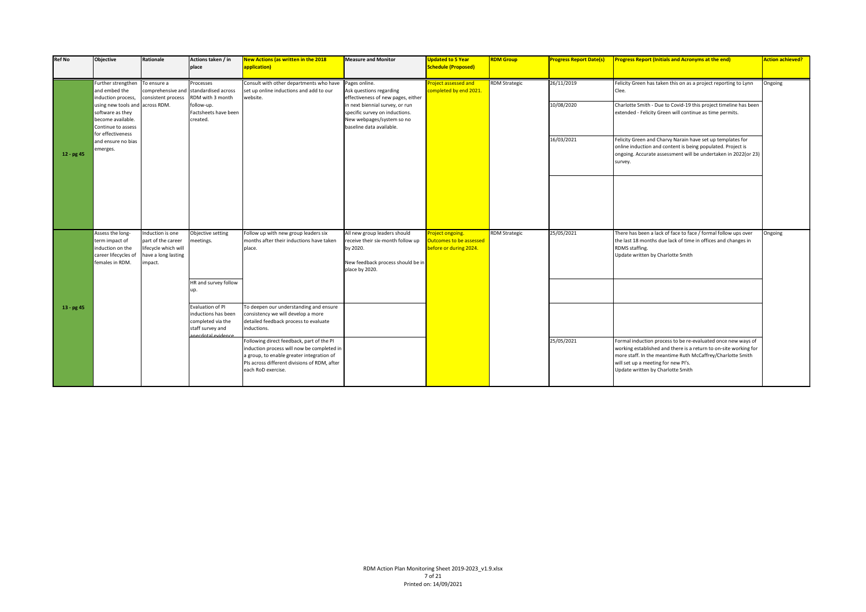| <b>Ref No</b> | Objective                                                                                         | <b>Rationale</b>                                                                                 | Actions taken / in<br>place                                                      | <b>New Actions (as written in the 2018</b><br>application)                                                                                                                                                 | <b>Measure and Monitor</b>                                                                                                           | <b>Updated to 5 Year</b><br><b>Schedule (Proposed)</b>                       | <b>RDM Group</b>     | <b>Progress Report Date(s)</b> | <b>Progress Report (Initials and Acronyms at the end)</b>                                                                                                                                                                                                                  | <b>Action achieved?</b> |
|---------------|---------------------------------------------------------------------------------------------------|--------------------------------------------------------------------------------------------------|----------------------------------------------------------------------------------|------------------------------------------------------------------------------------------------------------------------------------------------------------------------------------------------------------|--------------------------------------------------------------------------------------------------------------------------------------|------------------------------------------------------------------------------|----------------------|--------------------------------|----------------------------------------------------------------------------------------------------------------------------------------------------------------------------------------------------------------------------------------------------------------------------|-------------------------|
|               | Further strengthen<br>and embed the<br>induction process,<br>using new tools and across RDM.      | To ensure a<br>comprehensive and<br>consistent process                                           | Processes<br>standardised across<br>RDM with 3 month<br>follow-up.               | Consult with other departments who have<br>set up online inductions and add to our<br>website.                                                                                                             | Pages online.<br>Ask questions regarding<br>effectiveness of new pages, either<br>in next biennial survey, or run                    | <b>Project assessed and</b><br>ompleted by end 2021.                         | <b>RDM Strategic</b> | 26/11/2019<br>10/08/2020       | Felicity Green has taken this on as a project reporting to Lynn<br>Clee.<br>Charlotte Smith - Due to Covid-19 this project timeline has been                                                                                                                               | Ongoing                 |
|               | software as they<br>become available.<br>Continue to assess<br>for effectiveness                  |                                                                                                  | Factsheets have been<br>created.                                                 |                                                                                                                                                                                                            | specific survey on inductions.<br>New webpages/system so no<br>baseline data available.                                              |                                                                              |                      |                                | extended - Felicity Green will continue as time permits.                                                                                                                                                                                                                   |                         |
| $12 - pg 45$  | and ensure no bias<br>merges.                                                                     |                                                                                                  |                                                                                  |                                                                                                                                                                                                            |                                                                                                                                      |                                                                              |                      | 16/03/2021                     | Felicity Green and Charvy Narain have set up templates for<br>online induction and content is being populated. Project is<br>ongoing. Accurate assessment will be undertaken in 2022(or 23)<br>survey.                                                                     |                         |
|               |                                                                                                   |                                                                                                  |                                                                                  |                                                                                                                                                                                                            |                                                                                                                                      |                                                                              |                      |                                |                                                                                                                                                                                                                                                                            |                         |
|               | Assess the long-<br>term impact of<br>induction on the<br>career lifecycles of<br>females in RDM. | Induction is one<br>part of the career<br>lifecycle which will<br>have a long lasting<br>impact. | Objective setting<br>neetings.                                                   | Follow up with new group leaders six<br>months after their inductions have taken<br>place.                                                                                                                 | All new group leaders should<br>receive their six-month follow up<br>by 2020.<br>New feedback process should be in<br>place by 2020. | Project ongoing.<br><b>Outcomes to be assessed</b><br>before or during 2024. | <b>RDM Strategic</b> | 25/05/2021                     | There has been a lack of face to face / formal follow ups over<br>the last 18 months due lack of time in offices and changes in<br>RDMS staffing.<br>Update written by Charlotte Smith                                                                                     | Ongoing                 |
|               |                                                                                                   |                                                                                                  | HR and survey follow                                                             |                                                                                                                                                                                                            |                                                                                                                                      |                                                                              |                      |                                |                                                                                                                                                                                                                                                                            |                         |
| $13 - pg45$   |                                                                                                   |                                                                                                  | Evaluation of PI<br>inductions has been<br>completed via the<br>staff survey and | To deepen our understanding and ensure<br>consistency we will develop a more<br>detailed feedback process to evaluate<br>inductions.                                                                       |                                                                                                                                      |                                                                              |                      |                                |                                                                                                                                                                                                                                                                            |                         |
|               |                                                                                                   |                                                                                                  | annahiva letahaan                                                                | Following direct feedback, part of the PI<br>induction process will now be completed in<br>a group, to enable greater integration of<br>PIs across different divisions of RDM, after<br>each RoD exercise. |                                                                                                                                      |                                                                              |                      | 25/05/2021                     | Formal induction process to be re-evaluated once new ways of<br>working established and there is a return to on-site working for<br>more staff. In the meantime Ruth McCaffrey/Charlotte Smith<br>will set up a meeting for new PI's.<br>Update written by Charlotte Smith |                         |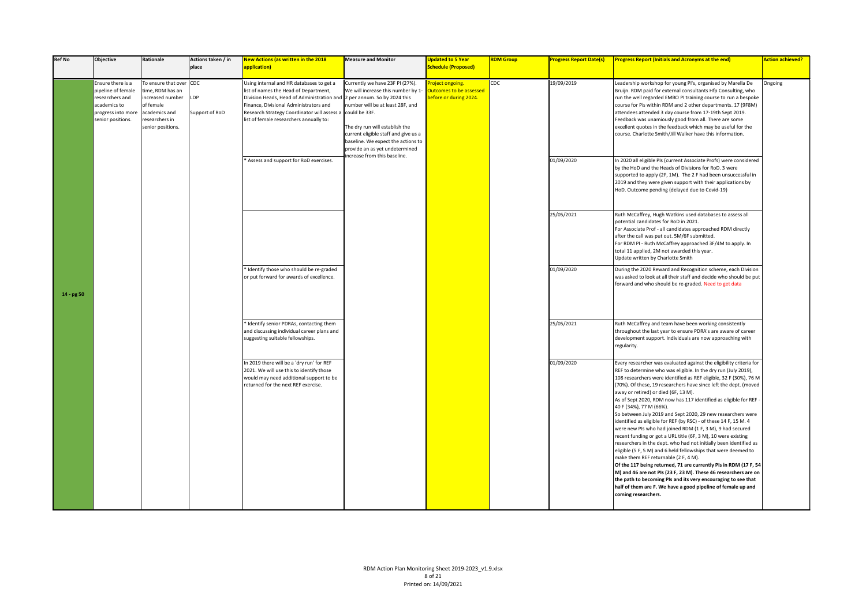| <b>Ref No</b> | Objective                                                                                                             | Rationale                                                                                                                            | Actions taken / in<br>place | New Actions (as written in the 2018<br>application)                                                                                                                                                                                                                | <b>Measure and Monitor</b>                                                                                                                                                                                                                                                                                                                  | <b>Updated to 5 Year</b><br><b>Schedule (Proposed)</b>             | <b>RDM Group</b> | <b>Progress Report Date(s)</b> | <b>Progress Report (Initials and Acronyms at the end)</b>                                                                                                                                                                                                                                                                                                                                                                                                                                                                                                                                                                                                                                                                                                                                                                                                                                                                                                                                                                                                                                                                                                           | <b>Action achieved?</b> |
|---------------|-----------------------------------------------------------------------------------------------------------------------|--------------------------------------------------------------------------------------------------------------------------------------|-----------------------------|--------------------------------------------------------------------------------------------------------------------------------------------------------------------------------------------------------------------------------------------------------------------|---------------------------------------------------------------------------------------------------------------------------------------------------------------------------------------------------------------------------------------------------------------------------------------------------------------------------------------------|--------------------------------------------------------------------|------------------|--------------------------------|---------------------------------------------------------------------------------------------------------------------------------------------------------------------------------------------------------------------------------------------------------------------------------------------------------------------------------------------------------------------------------------------------------------------------------------------------------------------------------------------------------------------------------------------------------------------------------------------------------------------------------------------------------------------------------------------------------------------------------------------------------------------------------------------------------------------------------------------------------------------------------------------------------------------------------------------------------------------------------------------------------------------------------------------------------------------------------------------------------------------------------------------------------------------|-------------------------|
|               | Ensure there is a<br>pipeline of female<br>researchers and<br>academics to<br>progress into more<br>senior positions. | To ensure that over CDC<br>time, RDM has an<br>increased number<br>of female<br>academics and<br>researchers in<br>senior positions. | LDP<br>Support of RoD       | Using internal and HR databases to get a<br>list of names the Head of Department,<br>Division Heads, Head of Administration an<br>Finance, Divisional Administrators and<br>Research Strategy Coordinator will assess a<br>list of female researchers annually to: | Currently we have 23F PI (27%).<br>We will increase this number by 1-<br>2 per annum. So by 2024 this<br>number will be at least 28F, and<br>could be 33F.<br>The dry run will establish the<br>current eligible staff and give us a<br>baseline. We expect the actions to<br>provide an as yet undetermined<br>ncrease from this baseline. | oject ongoing.<br>utcomes to be assessed<br>pefore or during 2024. | CDC              | 19/09/2019                     | Leadership workshop for young PI's, organised by Marella De<br>Bruijn. RDM paid for external consultants Hfp Consulting, who<br>run the well regarded EMBO PI training course to run a bespoke<br>course for Pis within RDM and 2 other departments. 17 (9F8M)<br>attendees attended 3 day course from 17-19th Sept 2019.<br>Feedback was unamiously good from all. There are some<br>excellent quotes in the feedback which may be useful for the<br>course. Charlotte Smith/Jill Walker have this information.                                                                                                                                                                                                                                                                                                                                                                                                                                                                                                                                                                                                                                                    | Ongoing                 |
|               |                                                                                                                       |                                                                                                                                      |                             | * Assess and support for RoD exercises.                                                                                                                                                                                                                            |                                                                                                                                                                                                                                                                                                                                             |                                                                    |                  | 01/09/2020                     | In 2020 all eligible PIs (current Associate Profs) were considered<br>by the HoD and the Heads of Divisions for RoD. 3 were<br>supported to apply (2F, 1M). The 2 F had been unsuccessful in<br>2019 and they were given support with their applications by<br>HoD. Outcome pending (delayed due to Covid-19)                                                                                                                                                                                                                                                                                                                                                                                                                                                                                                                                                                                                                                                                                                                                                                                                                                                       |                         |
|               |                                                                                                                       |                                                                                                                                      |                             |                                                                                                                                                                                                                                                                    |                                                                                                                                                                                                                                                                                                                                             |                                                                    |                  | 25/05/2021                     | Ruth McCaffrey, Hugh Watkins used databases to assess all<br>potential candidates for RoD in 2021.<br>For Associate Prof - all candidates approached RDM directly<br>after the call was put out. 5M/6F submitted.<br>For RDM PI - Ruth McCaffrey approached 3F/4M to apply. In<br>total 11 applied, 2M not awarded this year.<br>Update written by Charlotte Smith                                                                                                                                                                                                                                                                                                                                                                                                                                                                                                                                                                                                                                                                                                                                                                                                  |                         |
| 14 - pg 50    |                                                                                                                       |                                                                                                                                      |                             | Identify those who should be re-graded<br>or put forward for awards of excellence.                                                                                                                                                                                 |                                                                                                                                                                                                                                                                                                                                             |                                                                    |                  | 01/09/2020                     | During the 2020 Reward and Recognition scheme, each Division<br>was asked to look at all their staff and decide who should be put<br>forward and who should be re-graded. Need to get data                                                                                                                                                                                                                                                                                                                                                                                                                                                                                                                                                                                                                                                                                                                                                                                                                                                                                                                                                                          |                         |
|               |                                                                                                                       |                                                                                                                                      |                             | Identify senior PDRAs, contacting them<br>and discussing individual career plans and<br>uggesting suitable fellowships.                                                                                                                                            |                                                                                                                                                                                                                                                                                                                                             |                                                                    |                  | 25/05/2021                     | Ruth McCaffrey and team have been working consistently<br>throughout the last year to ensure PDRA's are aware of career<br>development support. Individuals are now approaching with<br>regularity.                                                                                                                                                                                                                                                                                                                                                                                                                                                                                                                                                                                                                                                                                                                                                                                                                                                                                                                                                                 |                         |
|               |                                                                                                                       |                                                                                                                                      |                             | In 2019 there will be a 'dry run' for REF<br>2021. We will use this to identify those<br>would may need additional support to be<br>returned for the next REF exercise.                                                                                            |                                                                                                                                                                                                                                                                                                                                             |                                                                    |                  | 01/09/2020                     | Every researcher was evaluated against the eligibility criteria for<br>REF to determine who was eligible. In the dry run (July 2019),<br>108 researchers were identified as REF eligible, 32 F (30%), 76 M<br>(70%). Of these, 19 researchers have since left the dept. (moved<br>away or retired) or died (6F, 13 M).<br>As of Sept 2020, RDM now has 117 identified as eligible for REF<br>40 F (34%), 77 M (66%).<br>So between July 2019 and Sept 2020, 29 new researchers were<br>identified as eligible for REF (by RSC) - of these 14 F, 15 M. 4<br>were new PIs who had joined RDM (1 F, 3 M), 9 had secured<br>recent funding or got a URL title (6F, 3 M), 10 were existing<br>researchers in the dept. who had not initially been identified as<br>eligible (5 F, 5 M) and 6 held fellowships that were deemed to<br>make them REF returnable (2 F, 4 M).<br>Of the 117 being returned, 71 are currently PIs in RDM (17 F, 54<br>M) and 46 are not PIs (23 F, 23 M). These 46 researchers are on<br>the path to becoming PIs and its very encouraging to see that<br>half of them are F. We have a good pipeline of female up and<br>coming researchers. |                         |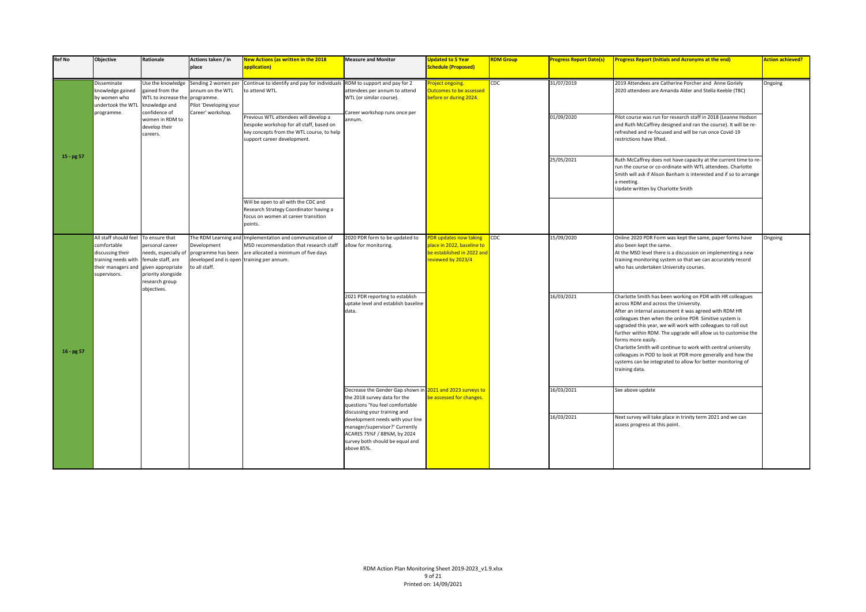| <b>Ref No</b> | <b>Objective</b>                                                                                                      | Rationale                                                                                                                                                  | Actions taken / in<br>place                                                     | New Actions (as written in the 2018<br>application)                                                                                                               | <b>Measure and Monitor</b>                                                                                                                                   | <b>Updated to 5 Year</b><br><b>Schedule (Proposed)</b>                                                   | <b>RDM Group</b> | <b>Progress Report Date(s)</b> | <b>Progress Report (Initials and Acronyms at the end)</b>                                                                                                                                                                                                                                                                                                                                                                                                                                                                                                                                        | <b>Action achieved?</b> |
|---------------|-----------------------------------------------------------------------------------------------------------------------|------------------------------------------------------------------------------------------------------------------------------------------------------------|---------------------------------------------------------------------------------|-------------------------------------------------------------------------------------------------------------------------------------------------------------------|--------------------------------------------------------------------------------------------------------------------------------------------------------------|----------------------------------------------------------------------------------------------------------|------------------|--------------------------------|--------------------------------------------------------------------------------------------------------------------------------------------------------------------------------------------------------------------------------------------------------------------------------------------------------------------------------------------------------------------------------------------------------------------------------------------------------------------------------------------------------------------------------------------------------------------------------------------------|-------------------------|
|               | Disseminate<br>knowledge gained<br>by women who<br>undertook the WTI                                                  | Use the knowledge<br>gained from the<br>WTL to increase the<br>knowledge and                                                                               | Sending 2 women per<br>annum on the WTL<br>programme.<br>Pilot 'Developing your | Continue to identify and pay for individuals<br>to attend WTL.                                                                                                    | RDM to support and pay for 2<br>attendees per annum to attend<br>WTL (or similar course).                                                                    | roject ongoing.<br>Outcomes to be assessed<br>before or during 2024.                                     | CDC              | 31/07/2019                     | 2019 Attendees are Catherine Porcher and Anne Goriely<br>2020 attendees are Amanda Alder and Stella Keeble (TBC)                                                                                                                                                                                                                                                                                                                                                                                                                                                                                 | Ongoing                 |
|               | programme.                                                                                                            | confidence of<br>women in RDM to<br>develop their<br>careers.                                                                                              | Career' workshop.                                                               | Previous WTL attendees will develop a<br>bespoke workshop for all staff, based on<br>key concepts from the WTL course, to help<br>support career development.     | Career workshop runs once per<br>annum.                                                                                                                      |                                                                                                          |                  | 01/09/2020                     | Pilot course was run for research staff in 2018 (Leanne Hodson<br>and Ruth McCaffrey designed and ran the course). It will be re-<br>refreshed and re-focused and will be run once Covid-19<br>restrictions have lifted.                                                                                                                                                                                                                                                                                                                                                                         |                         |
| $15 - pg 57$  |                                                                                                                       |                                                                                                                                                            |                                                                                 |                                                                                                                                                                   |                                                                                                                                                              |                                                                                                          |                  | 25/05/2021                     | Ruth McCaffrey does not have capacity at the current time to re-<br>run the course or co-ordinate with WTL attendees. Charlotte<br>Smith will ask if Alison Banham is interested and if so to arrange<br>a meeting.<br>Update written by Charlotte Smith                                                                                                                                                                                                                                                                                                                                         |                         |
|               |                                                                                                                       |                                                                                                                                                            |                                                                                 | Will be open to all with the CDC and<br>Research Strategy Coordinator having a<br>focus on women at career transition<br>points.                                  |                                                                                                                                                              |                                                                                                          |                  |                                |                                                                                                                                                                                                                                                                                                                                                                                                                                                                                                                                                                                                  |                         |
|               | All staff should feel<br>comfortable<br>discussing their<br>training needs with<br>their managers and<br>supervisors. | To ensure that<br>personal career<br>needs, especially of<br>female staff, are<br>given appropriate<br>priority alongside<br>research group<br>objectives. | Development<br>programme has been<br>developed and is oper<br>to all staff.     | The RDM Learning and Implementation and communication of<br>MSD recommendation that research staff<br>are allocated a minimum of five days<br>training per annum. | 2020 PDR form to be updated to<br>allow for monitoring.                                                                                                      | PDR updates now taking<br>place in 2022, baseline to<br>be established in 2022 and<br>reviewed by 2023/4 | CDC              | 15/09/2020                     | Online 2020 PDR Form was kept the same, paper forms have<br>also been kept the same.<br>At the MSD level there is a discussion on implementing a new<br>training monitoring system so that we can accurately record<br>who has undertaken University courses.                                                                                                                                                                                                                                                                                                                                    | Ongoing                 |
| $16 - pg 57$  |                                                                                                                       |                                                                                                                                                            |                                                                                 |                                                                                                                                                                   | 2021 PDR reporting to establish<br>uptake level and establish baseline<br>data.                                                                              |                                                                                                          |                  | 16/03/2021                     | Charlotte Smith has been working on PDR with HR colleagues<br>across RDM and across the University.<br>After an internal assessment it was agreed with RDM HR<br>colleagues then when the online PDR Simitive system is<br>upgraded this year, we will work with colleagues to roll out<br>further within RDM. The upgrade will allow us to customise the<br>forms more easily.<br>Charlotte Smith will continue to work with central university<br>colleagues in POD to look at PDR more generally and how the<br>systems can be integrated to allow for better monitoring of<br>training data. |                         |
|               |                                                                                                                       |                                                                                                                                                            |                                                                                 |                                                                                                                                                                   | Decrease the Gender Gap shown in 2021 and 2023 surveys to<br>the 2018 survey data for the<br>questions 'You feel comfortable<br>discussing your training and | be assessed for changes.                                                                                 |                  | 16/03/2021                     | See above update                                                                                                                                                                                                                                                                                                                                                                                                                                                                                                                                                                                 |                         |
|               |                                                                                                                       |                                                                                                                                                            |                                                                                 |                                                                                                                                                                   | development needs with your line<br>manager/supervisor?' Currently<br>ACARES 75%F / 88%M, by 2024<br>survey both should be equal and<br>above 85%.           |                                                                                                          |                  | 16/03/2021                     | Next survey will take place in trinity term 2021 and we can<br>assess progress at this point.                                                                                                                                                                                                                                                                                                                                                                                                                                                                                                    |                         |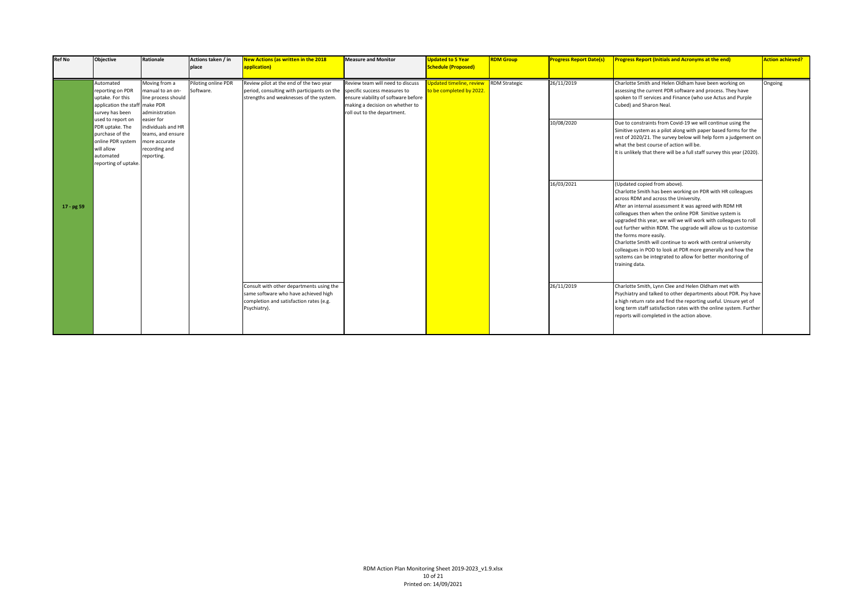| <b>Ref No</b> | Objective                                                                                                                       | <b>Rationale</b>                                                                                      | Actions taken / in<br>place      | <b>New Actions (as written in the 2018</b><br>application)                                                                                                     | <b>Measure and Monitor</b>                                                                                                                | <b>Updated to 5 Year</b><br>Schedule (Proposed)      | <b>RDM Group</b>     | <b>Progress Report Date(s)</b> | <b>Progress Report (Initials and Acronyms at the end)</b>                                                                                                                                                                                                                                                                                                                                                                                                                                                                                                                                                                                | <b>Action achieved?</b> |
|---------------|---------------------------------------------------------------------------------------------------------------------------------|-------------------------------------------------------------------------------------------------------|----------------------------------|----------------------------------------------------------------------------------------------------------------------------------------------------------------|-------------------------------------------------------------------------------------------------------------------------------------------|------------------------------------------------------|----------------------|--------------------------------|------------------------------------------------------------------------------------------------------------------------------------------------------------------------------------------------------------------------------------------------------------------------------------------------------------------------------------------------------------------------------------------------------------------------------------------------------------------------------------------------------------------------------------------------------------------------------------------------------------------------------------------|-------------------------|
|               | Automated<br>reporting on PDR<br>uptake. For this<br>application the staff make PDR<br>survey has been                          | Moving from a<br>manual to an on-<br>line process should<br>administration                            | Piloting online PDR<br>Software. | Review pilot at the end of the two year<br>period, consulting with participants on the specific success measures to<br>strengths and weaknesses of the system. | Review team will need to discuss<br>ensure viability of software before<br>making a decision on whether to<br>roll out to the department. | Ipdated timeline, review<br>to be completed by 2022. | <b>RDM Strategic</b> | 26/11/2019                     | Charlotte Smith and Helen Oldham have been working on<br>assessing the current PDR software and process. They have<br>spoken to IT services and Finance (who use Actus and Purple<br>Cubed) and Sharon Neal.                                                                                                                                                                                                                                                                                                                                                                                                                             | Ongoing                 |
|               | used to report on<br>PDR uptake. The<br>purchase of the<br>online PDR system<br>will allow<br>automated<br>reporting of uptake. | easier for<br>individuals and HR<br>teams, and ensure<br>more accurate<br>recording and<br>reporting. |                                  |                                                                                                                                                                |                                                                                                                                           |                                                      |                      | 10/08/2020                     | Due to constraints from Covid-19 we will continue using the<br>Simitive system as a pilot along with paper based forms for the<br>rest of 2020/21. The survey below will help form a judgement on<br>what the best course of action will be.<br>It is unlikely that there will be a full staff survey this year (2020).                                                                                                                                                                                                                                                                                                                  |                         |
| 17 - pg 59    |                                                                                                                                 |                                                                                                       |                                  |                                                                                                                                                                |                                                                                                                                           |                                                      |                      | 16/03/2021                     | (Updated copied from above).<br>Charlotte Smith has been working on PDR with HR colleagues<br>across RDM and across the University.<br>After an internal assessment it was agreed with RDM HR<br>colleagues then when the online PDR Simitive system is<br>upgraded this year, we will we will work with colleagues to roll<br>out further within RDM. The upgrade will allow us to customise<br>the forms more easily.<br>Charlotte Smith will continue to work with central university<br>colleagues in POD to look at PDR more generally and how the<br>systems can be integrated to allow for better monitoring of<br>training data. |                         |
|               |                                                                                                                                 |                                                                                                       |                                  | Consult with other departments using the<br>same software who have achieved high<br>completion and satisfaction rates (e.g.<br>Psychiatry).                    |                                                                                                                                           |                                                      |                      | 26/11/2019                     | Charlotte Smith, Lynn Clee and Helen Oldham met with<br>Psychiatry and talked to other departments about PDR. Psy have<br>a high return rate and find the reporting useful. Unsure yet of<br>long term staff satisfaction rates with the online system. Further<br>reports will completed in the action above.                                                                                                                                                                                                                                                                                                                           |                         |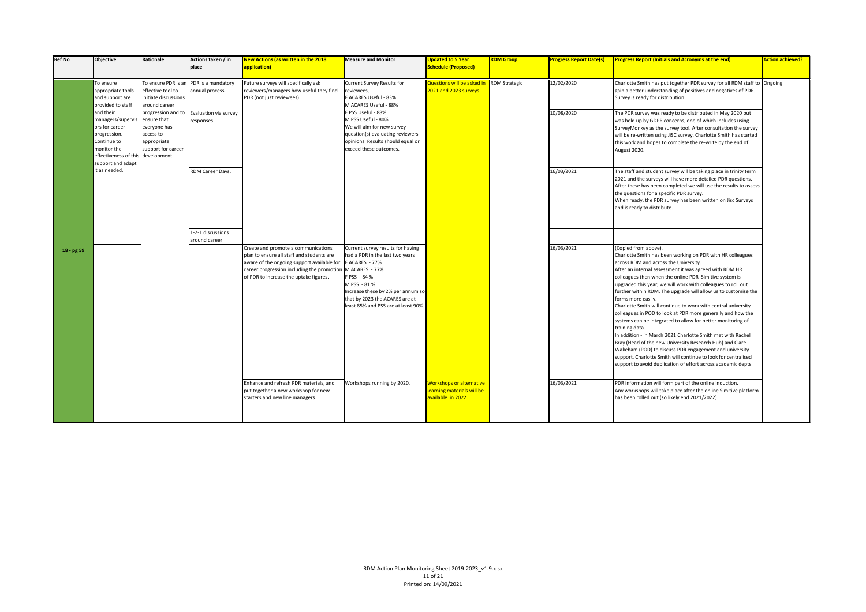| <b>Ref No</b> | <b>Objective</b>                                                                                                                                          | <b>Rationale</b>                                                                                    | Actions taken / in<br>place                               | <b>New Actions (as written in the 2018</b><br>application)                                                                                                                                                            | <b>Measure and Monitor</b>                                                                                                                                                                                                                             | <b>Updated to 5 Year</b><br><b>Schedule (Proposed)</b>                              | <b>RDM Group</b> | <b>Progress Report Date(s)</b> | <b>Progress Report (Initials and Acronyms at the end)</b>                                                                                                                                                                                                                                                                                                                                                                                                                                                                                                                                                                                                                                                                                                                                                                                                                                                                                        | <b>Action achieved?</b> |
|---------------|-----------------------------------------------------------------------------------------------------------------------------------------------------------|-----------------------------------------------------------------------------------------------------|-----------------------------------------------------------|-----------------------------------------------------------------------------------------------------------------------------------------------------------------------------------------------------------------------|--------------------------------------------------------------------------------------------------------------------------------------------------------------------------------------------------------------------------------------------------------|-------------------------------------------------------------------------------------|------------------|--------------------------------|--------------------------------------------------------------------------------------------------------------------------------------------------------------------------------------------------------------------------------------------------------------------------------------------------------------------------------------------------------------------------------------------------------------------------------------------------------------------------------------------------------------------------------------------------------------------------------------------------------------------------------------------------------------------------------------------------------------------------------------------------------------------------------------------------------------------------------------------------------------------------------------------------------------------------------------------------|-------------------------|
|               | To ensure<br>appropriate tools<br>and support are<br>provided to staff                                                                                    | effective tool to<br>initiate discussions<br>around career                                          | To ensure PDR is an PDR is a mandatory<br>annual process. | Future surveys will specifically ask<br>reviewers/managers how useful they find<br>PDR (not just reviewees).                                                                                                          | Current Survey Results for<br>reviewees,<br>F ACARES Useful - 83%<br>M ACARES Useful - 88%                                                                                                                                                             | Questions will be asked in RDM Strategic<br>2021 and 2023 surveys.                  |                  | 12/02/2020                     | Charlotte Smith has put together PDR survey for all RDM staff to Ongoing<br>gain a better understanding of positives and negatives of PDR.<br>Survey is ready for distribution.                                                                                                                                                                                                                                                                                                                                                                                                                                                                                                                                                                                                                                                                                                                                                                  |                         |
|               | and their<br>managers/supervis<br>ors for career<br>progression.<br>Continue to<br>monitor the<br>effectiveness of this development.<br>support and adapt | progression and to<br>ensure that<br>everyone has<br>access to<br>appropriate<br>support for career | Evaluation via survey<br>responses.                       |                                                                                                                                                                                                                       | F PSS Useful - 88%<br>M PSS Useful - 80%<br>We will aim for new survey<br>question(s) evaluating reviewers<br>opinions. Results should equal or<br>exceed these outcomes.                                                                              |                                                                                     |                  | 10/08/2020                     | The PDR survey was ready to be distributed in May 2020 but<br>was held up by GDPR concerns, one of which includes using<br>SurveyMonkey as the survey tool. After consultation the survey<br>will be re-written using JiSC survey. Charlotte Smith has started<br>this work and hopes to complete the re-write by the end of<br>August 2020.                                                                                                                                                                                                                                                                                                                                                                                                                                                                                                                                                                                                     |                         |
|               | it as needed.                                                                                                                                             |                                                                                                     | RDM Career Days.                                          |                                                                                                                                                                                                                       |                                                                                                                                                                                                                                                        |                                                                                     |                  | 16/03/2021                     | The staff and student survey will be taking place in trinity term<br>2021 and the surveys will have more detailed PDR questions.<br>After these has been completed we will use the results to assess<br>the questions for a specific PDR survey.<br>When ready, the PDR survey has been written on Jisc Surveys<br>and is ready to distribute.                                                                                                                                                                                                                                                                                                                                                                                                                                                                                                                                                                                                   |                         |
|               |                                                                                                                                                           |                                                                                                     | 1-2-1 discussions                                         |                                                                                                                                                                                                                       |                                                                                                                                                                                                                                                        |                                                                                     |                  |                                |                                                                                                                                                                                                                                                                                                                                                                                                                                                                                                                                                                                                                                                                                                                                                                                                                                                                                                                                                  |                         |
| 18 - pg 59    |                                                                                                                                                           |                                                                                                     | around career                                             | Create and promote a communications<br>plan to ensure all staff and students are<br>aware of the ongoing support available for<br>career progression including the promotio<br>of PDR to increase the uptake figures. | Current survey results for having<br>had a PDR in the last two years<br>F ACARES - 77%<br>M ACARES - 77%<br>F PSS - 84 %<br>M PSS - 81 %<br>Increase these by 2% per annum so<br>that by 2023 the ACARES are at<br>least 85% and PSS are at least 90%. |                                                                                     |                  | 16/03/2021                     | (Copied from above).<br>Charlotte Smith has been working on PDR with HR colleagues<br>across RDM and across the University.<br>After an internal assessment it was agreed with RDM HR<br>colleagues then when the online PDR Simitive system is<br>upgraded this year, we will work with colleagues to roll out<br>further within RDM. The upgrade will allow us to customise the<br>forms more easily.<br>Charlotte Smith will continue to work with central university<br>colleagues in POD to look at PDR more generally and how the<br>systems can be integrated to allow for better monitoring of<br>training data.<br>In addition - in March 2021 Charlotte Smith met with Rachel<br>Bray (Head of the new University Research Hub) and Clare<br>Wakeham (POD) to discuss PDR engagement and university<br>support. Charlotte Smith will continue to look for centralised<br>support to avoid duplication of effort across academic depts. |                         |
|               |                                                                                                                                                           |                                                                                                     |                                                           | Enhance and refresh PDR materials, and<br>put together a new workshop for new<br>starters and new line managers.                                                                                                      | Workshops running by 2020.                                                                                                                                                                                                                             | <b>Workshops or alternative</b><br>learning materials will be<br>available in 2022. |                  | 16/03/2021                     | PDR information will form part of the online induction.<br>Any workshops will take place after the online Simitive platform<br>has been rolled out (so likely end 2021/2022)                                                                                                                                                                                                                                                                                                                                                                                                                                                                                                                                                                                                                                                                                                                                                                     |                         |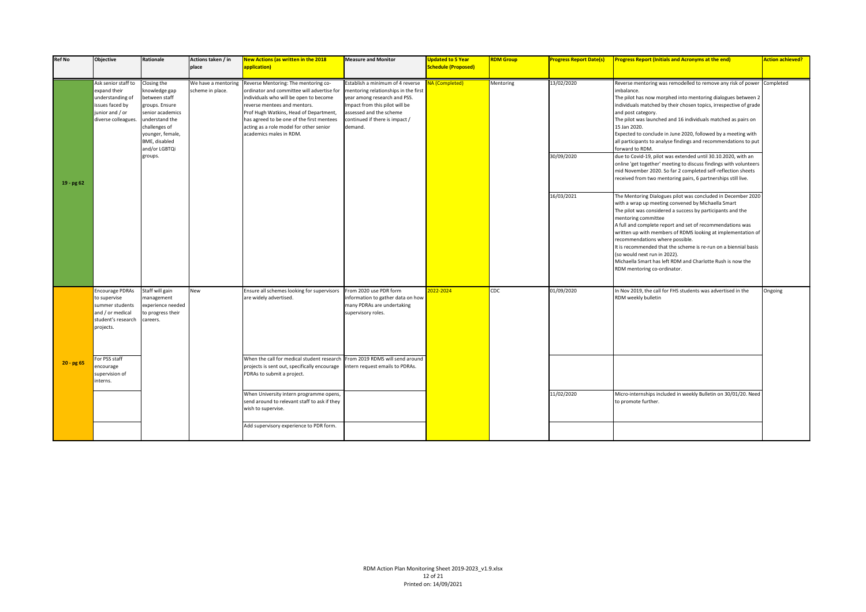| <b>Ref No</b> | Objective                                                                                                            | Rationale                                                                                                                                                                               | Actions taken / in<br>place             | <b>New Actions (as written in the 2018</b><br>application)                                                                                                                                                                                                                                                                | <b>Measure and Monitor</b>                                                                                                                                                                                        | <b>Updated to 5 Year</b><br><b>Schedule (Proposed)</b> | <b>RDM Group</b> | <b>Progress Report Date(s)</b> | <b>Progress Report (Initials and Acronyms at the end)</b>                                                                                                                                                                                                                                                                                                                                                                                                                                                                                                                                                                     | <b>Action achieved?</b> |
|---------------|----------------------------------------------------------------------------------------------------------------------|-----------------------------------------------------------------------------------------------------------------------------------------------------------------------------------------|-----------------------------------------|---------------------------------------------------------------------------------------------------------------------------------------------------------------------------------------------------------------------------------------------------------------------------------------------------------------------------|-------------------------------------------------------------------------------------------------------------------------------------------------------------------------------------------------------------------|--------------------------------------------------------|------------------|--------------------------------|-------------------------------------------------------------------------------------------------------------------------------------------------------------------------------------------------------------------------------------------------------------------------------------------------------------------------------------------------------------------------------------------------------------------------------------------------------------------------------------------------------------------------------------------------------------------------------------------------------------------------------|-------------------------|
|               | Ask senior staff to<br>expand their<br>understanding of<br>issues faced by<br>junior and / or<br>diverse colleagues. | Closing the<br>knowledge gap<br>between staff<br>groups. Ensure<br>senior academics<br>understand the<br>challenges of<br>younger, female,<br>BME, disabled<br>and/or LGBTQi<br>groups. | We have a mentoring<br>scheme in place. | Reverse Mentoring: The mentoring co-<br>ordinator and committee will advertise for<br>individuals who will be open to become<br>reverse mentees and mentors.<br>Prof Hugh Watkins, Head of Department,<br>has agreed to be one of the first mentees<br>acting as a role model for other senior<br>academics males in RDM. | Establish a minimum of 4 reverse<br>mentoring relationships in the first<br>year among research and PSS.<br>mpact from this pilot will be<br>assessed and the scheme<br>continued if there is impact /<br>demand. | A (Completed)                                          | Mentoring        | 13/02/2020<br>30/09/2020       | Reverse mentoring was remodelled to remove any risk of power Completed<br>imbalance.<br>The pilot has now morphed into mentoring dialogues between 2<br>individuals matched by their chosen topics, irrespective of grade<br>and post category.<br>The pilot was launched and 16 individuals matched as pairs on<br>15 Jan 2020.<br>Expected to conclude in June 2020, followed by a meeting with<br>all participants to analyse findings and recommendations to put<br>forward to RDM.<br>due to Covid-19, pilot was extended until 30.10.2020, with an<br>online 'get together' meeting to discuss findings with volunteers |                         |
| $19 - pg62$   |                                                                                                                      |                                                                                                                                                                                         |                                         |                                                                                                                                                                                                                                                                                                                           |                                                                                                                                                                                                                   |                                                        |                  |                                | mid November 2020. So far 2 completed self-reflection sheets<br>received from two mentoring pairs, 6 partnerships still live.                                                                                                                                                                                                                                                                                                                                                                                                                                                                                                 |                         |
|               |                                                                                                                      |                                                                                                                                                                                         |                                         |                                                                                                                                                                                                                                                                                                                           |                                                                                                                                                                                                                   |                                                        |                  | 16/03/2021                     | The Mentoring Dialogues pilot was concluded in December 2020<br>with a wrap up meeting convened by Michaella Smart<br>The pilot was considered a success by participants and the<br>mentoring committee<br>A full and complete report and set of recommendations was<br>written up with members of RDMS looking at implementation of<br>recommendations where possible.<br>It is recommended that the scheme is re-run on a biennial basis<br>(so would next run in 2022).<br>Michaella Smart has left RDM and Charlotte Rush is now the<br>RDM mentoring co-ordinator.                                                       |                         |
|               | <b>Encourage PDRAs</b><br>to supervise<br>summer students<br>and / or medical<br>student's research<br>projects.     | Staff will gain<br>management<br>experience needed<br>to progress their<br>careers.                                                                                                     | New                                     | Ensure all schemes looking for supervisors<br>are widely advertised.                                                                                                                                                                                                                                                      | From 2020 use PDR form<br>information to gather data on how<br>many PDRAs are undertaking<br>supervisory roles.                                                                                                   | 022-2024                                               | CDC              | 01/09/2020                     | In Nov 2019, the call for FHS students was advertised in the<br>RDM weekly bulletin                                                                                                                                                                                                                                                                                                                                                                                                                                                                                                                                           | Ongoing                 |
| $20 - pg 65$  | For PSS staff<br>encourage<br>supervision of<br>interns.                                                             |                                                                                                                                                                                         |                                         | When the call for medical student research<br>projects is sent out, specifically encourage<br>PDRAs to submit a project.                                                                                                                                                                                                  | From 2019 RDMS will send around<br>ntern request emails to PDRAs.                                                                                                                                                 |                                                        |                  |                                |                                                                                                                                                                                                                                                                                                                                                                                                                                                                                                                                                                                                                               |                         |
|               |                                                                                                                      |                                                                                                                                                                                         |                                         | When University intern programme opens,<br>send around to relevant staff to ask if they<br>wish to supervise.                                                                                                                                                                                                             |                                                                                                                                                                                                                   |                                                        |                  | 11/02/2020                     | Micro-internships included in weekly Bulletin on 30/01/20. Need<br>to promote further.                                                                                                                                                                                                                                                                                                                                                                                                                                                                                                                                        |                         |
|               |                                                                                                                      |                                                                                                                                                                                         |                                         | Add supervisory experience to PDR form.                                                                                                                                                                                                                                                                                   |                                                                                                                                                                                                                   |                                                        |                  |                                |                                                                                                                                                                                                                                                                                                                                                                                                                                                                                                                                                                                                                               |                         |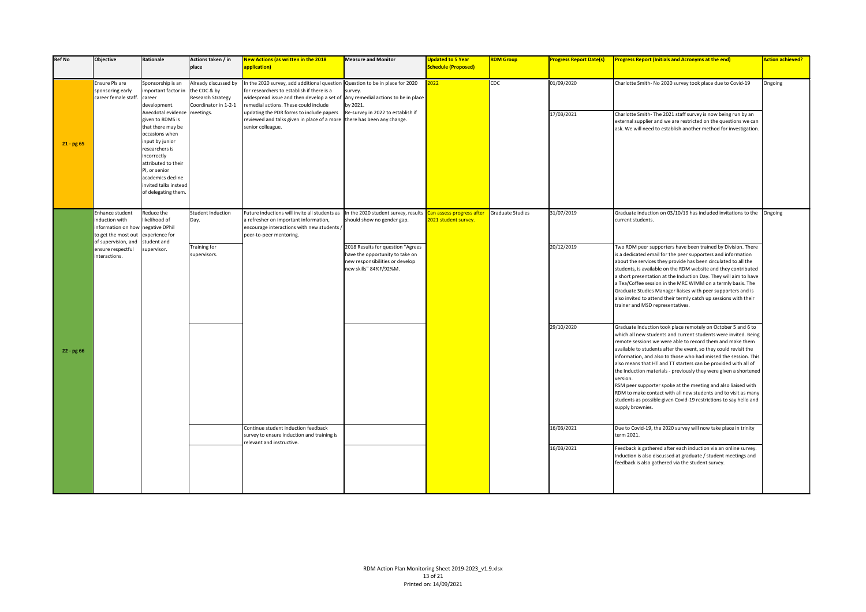| <b>Ref No</b> | Objective                                                                      | Rationale                                                                                                                                                                                                                                      | Actions taken / in<br>place                                                       | <b>New Actions (as written in the 2018</b><br>application)                                                                                                                                                                                            | <b>Measure and Monitor</b>                                                                                                        | <b>Updated to 5 Year</b><br><b>Schedule (Proposed)</b> | <b>RDM Group</b>        | <b>Progress Report Date(s)</b> | <b>Progress Report (Initials and Acronyms at the end)</b>                                                                                                                                                                                                                                                                                                                                                                                                                                                                                                                                                                                                                                                         | <b>Action achieved?</b> |
|---------------|--------------------------------------------------------------------------------|------------------------------------------------------------------------------------------------------------------------------------------------------------------------------------------------------------------------------------------------|-----------------------------------------------------------------------------------|-------------------------------------------------------------------------------------------------------------------------------------------------------------------------------------------------------------------------------------------------------|-----------------------------------------------------------------------------------------------------------------------------------|--------------------------------------------------------|-------------------------|--------------------------------|-------------------------------------------------------------------------------------------------------------------------------------------------------------------------------------------------------------------------------------------------------------------------------------------------------------------------------------------------------------------------------------------------------------------------------------------------------------------------------------------------------------------------------------------------------------------------------------------------------------------------------------------------------------------------------------------------------------------|-------------------------|
|               | Ensure PIs are<br>sponsoring early<br>career female staff.                     | Sponsorship is an<br>mportant factor in<br>career<br>development.                                                                                                                                                                              | Already discussed by<br>the CDC & by<br>Research Strategy<br>Coordinator in 1-2-1 | In the 2020 survey, add additional question Question to be in place for 2020<br>for researchers to establish if there is a<br>widespread issue and then develop a set of Any remedial actions to be in place<br>remedial actions. These could include | survey.<br>by 2021.                                                                                                               | 2022                                                   | CDC                     | 01/09/2020                     | Charlotte Smith- No 2020 survey took place due to Covid-19                                                                                                                                                                                                                                                                                                                                                                                                                                                                                                                                                                                                                                                        | Ongoing                 |
| $21 - pg 65$  |                                                                                | Anecdotal evidence<br>given to RDMS is<br>that there may be<br>occasions when<br>input by junior<br>researchers is<br>incorrectly<br>attributed to their<br>PI, or senior<br>academics decline<br>invited talks instead<br>of delegating them. | meetings.                                                                         | updating the PDR forms to include papers<br>reviewed and talks given in place of a more<br>senior colleague.                                                                                                                                          | Re-survey in 2022 to establish if<br>there has been any change.                                                                   |                                                        |                         | 17/03/2021                     | Charlotte Smith-The 2021 staff survey is now being run by an<br>external supplier and we are restricted on the questions we can<br>ask. We will need to establish another method for investigation.                                                                                                                                                                                                                                                                                                                                                                                                                                                                                                               |                         |
|               | Enhance student<br>induction with<br>information on how<br>to get the most out | Reduce the<br>ikelihood of<br>negative DPhil<br>experience for                                                                                                                                                                                 | Student Induction<br>Day.                                                         | Future inductions will invite all students as<br>a refresher on important information,<br>encourage interactions with new students /<br>peer-to-peer mentoring.                                                                                       | In the 2020 student survey, results<br>should show no gender gap.                                                                 | Can assess progress after<br>2021 student survey.      | <b>Graduate Studies</b> | 31/07/2019                     | Graduate induction on 03/10/19 has included invitations to the<br>current students.                                                                                                                                                                                                                                                                                                                                                                                                                                                                                                                                                                                                                               | Ongoing                 |
|               | of supervision, and<br>ensure respectful<br>interactions.                      | student and<br>supervisor.                                                                                                                                                                                                                     | <b>Training for</b><br>supervisors.                                               |                                                                                                                                                                                                                                                       | 2018 Results for question "Agrees<br>have the opportunity to take on<br>new responsibilities or develop<br>new skills" 84%F/92%M. |                                                        |                         | 20/12/2019                     | Two RDM peer supporters have been trained by Division. There<br>is a dedicated email for the peer supporters and information<br>about the services they provide has been circulated to all the<br>students, is available on the RDM website and they contributed<br>a short presentation at the Induction Day. They will aim to have<br>a Tea/Coffee session in the MRC WIMM on a termly basis. The<br>Graduate Studies Manager liaises with peer supporters and is<br>also invited to attend their termly catch up sessions with their<br>trainer and MSD representatives.                                                                                                                                       |                         |
| 22 - pg 66    |                                                                                |                                                                                                                                                                                                                                                |                                                                                   |                                                                                                                                                                                                                                                       |                                                                                                                                   |                                                        |                         | 29/10/2020                     | Graduate Induction took place remotely on October 5 and 6 to<br>which all new students and current students were invited. Being<br>remote sessions we were able to record them and make them<br>available to students after the event, so they could revisit the<br>information, and also to those who had missed the session. This<br>also means that HT and TT starters can be provided with all of<br>the Induction materials - previously they were given a shortened<br>version.<br>RSM peer supporter spoke at the meeting and also liaised with<br>RDM to make contact with all new students and to visit as many<br>students as possible given Covid-19 restrictions to say hello and<br>supply brownies. |                         |
|               |                                                                                |                                                                                                                                                                                                                                                |                                                                                   | Continue student induction feedback<br>survey to ensure induction and training is<br>relevant and instructive.                                                                                                                                        |                                                                                                                                   |                                                        |                         | 16/03/2021                     | Due to Covid-19, the 2020 survey will now take place in trinity<br>term 2021.                                                                                                                                                                                                                                                                                                                                                                                                                                                                                                                                                                                                                                     |                         |
|               |                                                                                |                                                                                                                                                                                                                                                |                                                                                   |                                                                                                                                                                                                                                                       |                                                                                                                                   |                                                        |                         | 16/03/2021                     | Feedback is gathered after each induction via an online survey.<br>Induction is also discussed at graduate / student meetings and<br>feedback is also gathered via the student survey.                                                                                                                                                                                                                                                                                                                                                                                                                                                                                                                            |                         |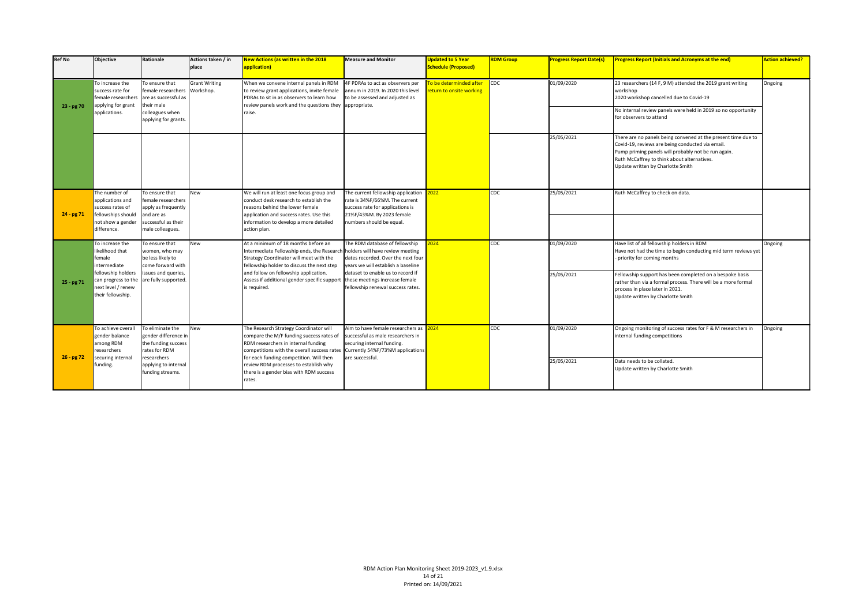| <b>Ref No</b> | <b>Objective</b>                                                                                                | Rationale                                                                                                            | Actions taken / in<br>place                                                                                                                                                                                                                                                        | <b>New Actions (as written in the 2018</b><br>application)                                                                                                                                                                 | <b>Measure and Monitor</b>                                                                                                                                        | <b>Updated to 5 Year</b><br><b>Schedule (Proposed)</b> | <b>RDM Group</b>                                                                                                  | <b>Progress Report Date(s)</b> | <b>Progress Report (Initials and Acronyms at the end)</b>                                                                                                                                                                                                    | <b>Action achieved?</b> |
|---------------|-----------------------------------------------------------------------------------------------------------------|----------------------------------------------------------------------------------------------------------------------|------------------------------------------------------------------------------------------------------------------------------------------------------------------------------------------------------------------------------------------------------------------------------------|----------------------------------------------------------------------------------------------------------------------------------------------------------------------------------------------------------------------------|-------------------------------------------------------------------------------------------------------------------------------------------------------------------|--------------------------------------------------------|-------------------------------------------------------------------------------------------------------------------|--------------------------------|--------------------------------------------------------------------------------------------------------------------------------------------------------------------------------------------------------------------------------------------------------------|-------------------------|
|               | To increase the<br>success rate for<br>female researcher:                                                       | To ensure that<br>female researchers<br>are as successful as<br>their male                                           | <b>Grant Writing</b><br>When we convene internal panels in RDM<br>4F PDRAs to act as observers per<br>Workshop.<br>to review grant applications, invite female<br>annum in 2019. In 2020 this level<br>PDRAs to sit in as observers to learn how<br>to be assessed and adjusted as | o be determinded after<br>eturn to onsite working.                                                                                                                                                                         | $\mathsf{Loc}$                                                                                                                                                    | 01/09/2020                                             | 23 researchers (14 F, 9 M) attended the 2019 grant writing<br>workshop<br>2020 workshop cancelled due to Covid-19 | Ongoing                        |                                                                                                                                                                                                                                                              |                         |
| $23 - pg70$   | applying for grant<br>applications.                                                                             | colleagues when<br>applying for grants.                                                                              |                                                                                                                                                                                                                                                                                    | review panels work and the questions they appropriate.<br>raise.                                                                                                                                                           |                                                                                                                                                                   |                                                        |                                                                                                                   |                                | No internal review panels were held in 2019 so no opportunity<br>for observers to attend                                                                                                                                                                     |                         |
|               |                                                                                                                 |                                                                                                                      |                                                                                                                                                                                                                                                                                    |                                                                                                                                                                                                                            |                                                                                                                                                                   |                                                        |                                                                                                                   | 25/05/2021                     | There are no panels being convened at the present time due to<br>Covid-19, reviews are being conducted via email.<br>Pump priming panels will probably not be run again.<br>Ruth McCaffrey to think about alternatives.<br>Update written by Charlotte Smith |                         |
| $24 - pg71$   | The number of<br>applications and<br>success rates of<br>fellowships should<br>not show a gender<br>difference. | To ensure that<br>female researchers<br>apply as frequently<br>and are as<br>successful as their<br>male colleagues. | New                                                                                                                                                                                                                                                                                | We will run at least one focus group and<br>conduct desk research to establish the<br>reasons behind the lower female<br>application and success rates. Use this<br>information to develop a more detailed<br>action plan. | The current fellowship application<br>rate is 34%F/66%M. The current<br>success rate for applications is<br>21%F/43%M. By 2023 female<br>numbers should be equal. | 2022                                                   | CDC                                                                                                               | 25/05/2021                     | Ruth McCaffrey to check on data.                                                                                                                                                                                                                             |                         |
|               | To increase the<br>likelihood that<br>female<br>intermediate                                                    | To ensure that<br>women, who may<br>be less likely to<br>come forward with                                           | <b>New</b>                                                                                                                                                                                                                                                                         | At a minimum of 18 months before an<br>Intermediate Fellowship ends, the Research<br>Strategy Coordinator will meet with the<br>fellowship holder to discuss the next step                                                 | The RDM database of fellowship<br>holders will have review meeting<br>dates recorded. Over the next four<br>vears we will establish a baseline                    | 024                                                    | CDC                                                                                                               | 01/09/2020                     | Have list of all fellowship holders in RDM<br>Have not had the time to begin conducting mid term reviews yet<br>priority for coming months                                                                                                                   | Ongoing                 |
| $25 - pg71$   | fellowship holders<br>can progress to the<br>next level / renew<br>their fellowship.                            | issues and queries,<br>are fully supported.                                                                          |                                                                                                                                                                                                                                                                                    | and follow on fellowship application.<br>Assess if additional gender specific support these meetings increase female<br>is required.                                                                                       | dataset to enable us to record if<br>fellowship renewal success rates.                                                                                            |                                                        |                                                                                                                   | 25/05/2021                     | Fellowship support has been completed on a bespoke basis<br>rather than via a formal process. There will be a more formal<br>process in place later in 2021.<br>Update written by Charlotte Smith                                                            |                         |
| $26 - pg72$   | To achieve overall<br>gender balance<br>mong RDM<br>esearchers                                                  | To eliminate the<br>gender difference in<br>the funding success<br>rates for RDM                                     | New                                                                                                                                                                                                                                                                                | The Research Strategy Coordinator will<br>compare the M/F funding success rates of<br>RDM researchers in internal funding<br>competitions with the overall success rates                                                   | Aim to have female researchers as<br>successful as male researchers in<br>securing internal funding.<br>Currently 54%F/73%M applications                          | 024                                                    | CDC                                                                                                               | 01/09/2020                     | Ongoing monitoring of success rates for F & M researchers in<br>internal funding competitions                                                                                                                                                                | Ongoing                 |
|               | ecuring internal<br>funding.                                                                                    | researchers<br>applying to internal<br>funding streams.                                                              |                                                                                                                                                                                                                                                                                    | for each funding competition. Will then<br>review RDM processes to establish why<br>there is a gender bias with RDM success<br>rates.                                                                                      | are successful.                                                                                                                                                   |                                                        |                                                                                                                   | 25/05/2021                     | Data needs to be collated.<br>Update written by Charlotte Smith                                                                                                                                                                                              |                         |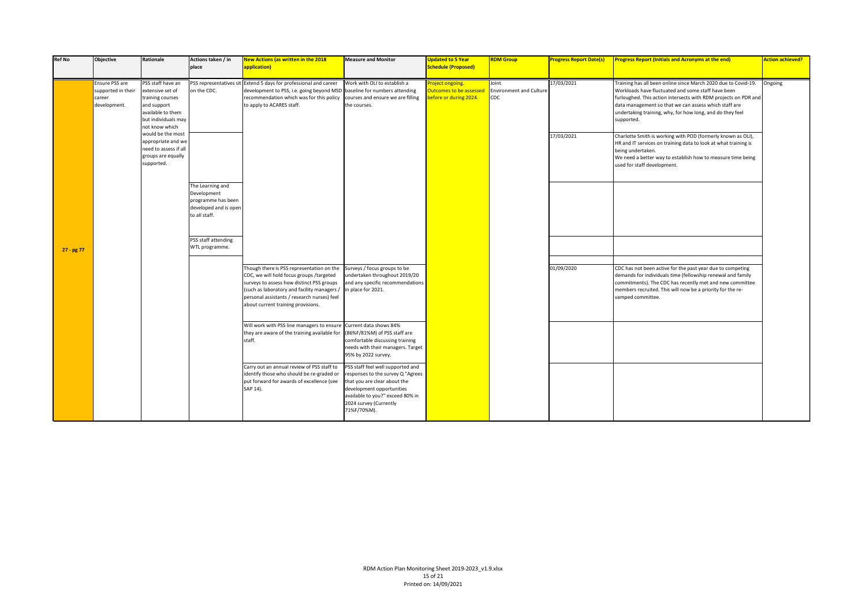| <b>Ref No</b> | <b>Objective</b>                                               | Rationale                                                                                                                              | Actions taken / in<br>place                                                                     | New Actions (as written in the 2018<br>application)                                                                                                                                                                                                                   | <b>Measure and Monitor</b>                                                                                                                                                                                       | <b>Updated to 5 Year</b><br><b>Schedule (Proposed)</b>                      | <b>RDM Group</b>                               | <b>Progress Report Date(s)</b> | <b>Progress Report (Initials and Acronyms at the end)</b>                                                                                                                                                                                                                                                                   | <b>Action achieved?</b> |
|---------------|----------------------------------------------------------------|----------------------------------------------------------------------------------------------------------------------------------------|-------------------------------------------------------------------------------------------------|-----------------------------------------------------------------------------------------------------------------------------------------------------------------------------------------------------------------------------------------------------------------------|------------------------------------------------------------------------------------------------------------------------------------------------------------------------------------------------------------------|-----------------------------------------------------------------------------|------------------------------------------------|--------------------------------|-----------------------------------------------------------------------------------------------------------------------------------------------------------------------------------------------------------------------------------------------------------------------------------------------------------------------------|-------------------------|
|               | Ensure PSS are<br>supported in their<br>career<br>development. | PSS staff have an<br>extensive set of<br>training courses<br>and support<br>available to them<br>but individuals may<br>not know which | on the CDC.                                                                                     | PSS representatives sit Extend 5 days for professional and career<br>development to PSS, i.e. going beyond MSD baseline for numbers attending<br>recommendation which was for this policy<br>to apply to ACARES staff.                                                | Work with OLI to establish a<br>courses and ensure we are filling<br>the courses.                                                                                                                                | roject ongoing.<br><b>Outcomes to be assessed</b><br>pefore or during 2024. | Joint<br><b>Environment and Culture</b><br>CDC | 17/03/2021                     | Training has all been online since March 2020 due to Covid-19.<br>Workloads have fluctuated and some staff have been<br>furloughed. This action intersects with RDM projects on PDR and<br>data management so that we can assess which staff are<br>undertaking training, why, for how long, and do they feel<br>supported. | Ongoing                 |
|               |                                                                | would be the most<br>appropriate and we<br>need to assess if all<br>groups are equally<br>supported.                                   |                                                                                                 |                                                                                                                                                                                                                                                                       |                                                                                                                                                                                                                  |                                                                             |                                                | 17/03/2021                     | Charlotte Smith is working with POD (formerly known as OLI),<br>HR and IT services on training data to look at what training is<br>being undertaken.<br>We need a better way to establish how to measure time being<br>used for staff development.                                                                          |                         |
|               |                                                                |                                                                                                                                        | The Learning and<br>Development<br>programme has been<br>developed and is oper<br>to all staff. |                                                                                                                                                                                                                                                                       |                                                                                                                                                                                                                  |                                                                             |                                                |                                |                                                                                                                                                                                                                                                                                                                             |                         |
| 27 - pg 77    |                                                                |                                                                                                                                        | PSS staff attending<br>WTL programme.                                                           |                                                                                                                                                                                                                                                                       |                                                                                                                                                                                                                  |                                                                             |                                                |                                |                                                                                                                                                                                                                                                                                                                             |                         |
|               |                                                                |                                                                                                                                        |                                                                                                 | Though there is PSS representation on the<br>CDC, we will hold focus groups /targeted<br>surveys to assess how distinct PSS groups<br>(such as laboratory and facility managers,<br>personal assistants / research nurses) feel<br>about current training provisions. | Surveys / focus groups to be<br>undertaken throughout 2019/20<br>and any specific recommendations<br>in place for 2021.                                                                                          |                                                                             |                                                | 01/09/2020                     | CDC has not been active for the past year due to competing<br>demands for individuals time (fellowship renewal and family<br>commitments). The CDC has recently met and new committee<br>members recruited. This will now be a priority for the re-<br>vamped committee.                                                    |                         |
|               |                                                                |                                                                                                                                        |                                                                                                 | Will work with PSS line managers to ensure Current data shows 84%<br>they are aware of the training available for<br>staff.                                                                                                                                           | (86%F/81%M) of PSS staff are<br>comfortable discussing training<br>needs with their managers. Target<br>95% by 2022 survey.                                                                                      |                                                                             |                                                |                                |                                                                                                                                                                                                                                                                                                                             |                         |
|               |                                                                |                                                                                                                                        |                                                                                                 | Carry out an annual review of PSS staff to<br>identify those who should be re-graded or<br>put forward for awards of excellence (see<br>SAP 14).                                                                                                                      | PSS staff feel well supported and<br>responses to the survey Q "Agrees<br>that you are clear about the<br>development opportunities<br>available to you?" exceed 80% in<br>2024 survey (Currently<br>71%F/70%M). |                                                                             |                                                |                                |                                                                                                                                                                                                                                                                                                                             |                         |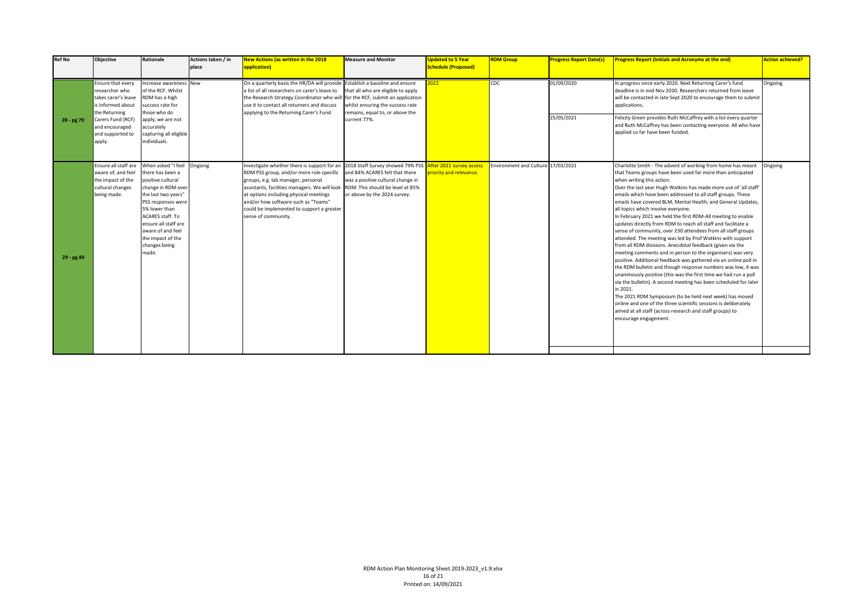| <b>Ref No</b> | <b>Objective</b>                                                                                   | Rationale                                                                                                                                                                                                                                                       | Actions taken / in<br>place | New Actions (as written in the 2018<br>application)                                                                                                                                                                                                                                                                                                                                                   | <b>Measure and Monitor</b>                                                                                | <b>Updated to 5 Year</b><br><b>Schedule (Proposed)</b> | <b>RDM Group</b>                   | <b>Progress Report Date(s)</b> | <b>Progress Report (Initials and Acronyms at the end)</b>                                                                                                                                                                                                                                                                                                                                                                                                                                                                                                                                                                                                                                                                                                                                                                                                                                                                                                                                                                                                                                                                                                                                                                                                                                           | <b>Action achieved?</b> |
|---------------|----------------------------------------------------------------------------------------------------|-----------------------------------------------------------------------------------------------------------------------------------------------------------------------------------------------------------------------------------------------------------------|-----------------------------|-------------------------------------------------------------------------------------------------------------------------------------------------------------------------------------------------------------------------------------------------------------------------------------------------------------------------------------------------------------------------------------------------------|-----------------------------------------------------------------------------------------------------------|--------------------------------------------------------|------------------------------------|--------------------------------|-----------------------------------------------------------------------------------------------------------------------------------------------------------------------------------------------------------------------------------------------------------------------------------------------------------------------------------------------------------------------------------------------------------------------------------------------------------------------------------------------------------------------------------------------------------------------------------------------------------------------------------------------------------------------------------------------------------------------------------------------------------------------------------------------------------------------------------------------------------------------------------------------------------------------------------------------------------------------------------------------------------------------------------------------------------------------------------------------------------------------------------------------------------------------------------------------------------------------------------------------------------------------------------------------------|-------------------------|
|               | Ensure that every<br>researcher who<br>takes carer's leave<br>is informed about<br>the Returning   | ncrease awareness New<br>of the RCF. Whilst<br>RDM has a high<br>success rate for<br>those who do                                                                                                                                                               |                             | On a quarterly basis the HR/DA will provide Establish a baseline and ensure<br>a list of all researchers on carer's leave to<br>the Research Strategy Coordinator who will for the RCF, submit an application<br>use it to contact all returners and discuss<br>applying to the Returning Carer's Fund.                                                                                               | that all who are eligible to apply<br>whilst ensuring the success rate<br>remains, equal to, or above the | 022                                                    | CDC                                | 01/09/2020                     | In progress since early 2020. Next Returning Carer's fund<br>deadline is in mid Nov 2020. Researchers returned from leave<br>will be contacted in late Sept 2020 to encourage them to submit<br>applications.                                                                                                                                                                                                                                                                                                                                                                                                                                                                                                                                                                                                                                                                                                                                                                                                                                                                                                                                                                                                                                                                                       | Ongoing                 |
| 28 - pg 79    | Carers Fund (RCF)<br>and encouraged<br>and supported to<br>apply.                                  | apply, we are not<br>accurately<br>capturing all eligible<br>individuals.                                                                                                                                                                                       |                             |                                                                                                                                                                                                                                                                                                                                                                                                       | current 77%.                                                                                              |                                                        |                                    | 25/05/2021                     | Felicity Green provides Ruth McCaffrey with a list every quarter<br>and Ruth McCaffrey has been contacting everyone. All who have<br>applied so far have been funded.                                                                                                                                                                                                                                                                                                                                                                                                                                                                                                                                                                                                                                                                                                                                                                                                                                                                                                                                                                                                                                                                                                                               |                         |
| 29 - pg 84    | Ensure all staff are<br>aware of, and feel<br>the impact of the<br>cultural changes<br>being made. | When asked "I feel<br>there has been a<br>positive cultural<br>change in RDM over<br>the last two years"<br>PSS responses were<br>5% lower than<br>ACARES staff. To<br>ensure all staff are<br>aware of and feel<br>the impact of the<br>changes being<br>made. | Ongoing                     | Investigate whether there is support for an 2018 Staff Survey showed 79% PSS<br>RDM PSS group, and/or more role specific<br>groups, e.g. lab manager, personal<br>assistants, facilities managers. We will look RDM. This should be level at 85%<br>at options including physical meetings<br>and/or how software such as "Teams"<br>could be implemented to support a greater<br>sense of community. | and 84% ACARES felt that there<br>was a positive cultural change in<br>or above by the 2024 survey.       | After 2021 survey assess<br>priority and relevance.    | Environment and Culture 17/03/2021 |                                | Charlotte Smith - The advent of working from home has meant<br>that Teams groups have been used far more than anticipated<br>when writing this action.<br>Over the last year Hugh Watkins has made more use of 'all staff'<br>emails which have been addressed to all staff groups. These<br>emails have covered BLM, Mental Health, and General Updates,<br>all topics which involve everyone.<br>In February 2021 we held the first RDM-All meeting to enable<br>updates directly from RDM to reach all staff and facilitate a<br>sense of community, over 230 attendees from all staff groups<br>attended. The meeting was led by Prof Watkins with support<br>from all RDM divisions. Anecdotal feedback (given via the<br>meeting comments and in person to the organisers) was very<br>positive. Additional feedback was gathered via an online poll in<br>the RDM bulletin and though response numbers was low, it was<br>unanimously positive (this was the first time we had run a poll<br>via the bulletin). A second meeting has been scheduled for later<br>in 2021.<br>The 2021 RDM Symposium (to be held next week) has moved<br>online and one of the three scientific sessions is deliberately<br>aimed at all staff (across research and staff groups) to<br>encourage engagement. | Ongoing                 |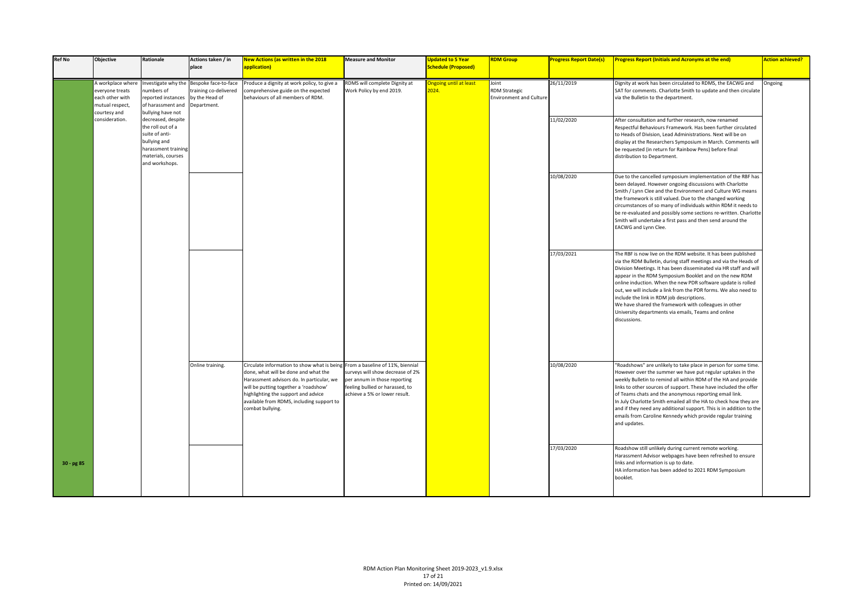| <b>Ref No</b> | Objective                                                                                  | Rationale                                                                                                                                | Actions taken / in<br>place                                                                        | <b>New Actions (as written in the 2018</b><br>application)                                                                                                                                                                                                                       | <b>Measure and Monitor</b>                                                                                                                                                 | <b>Updated to 5 Year</b><br><b>Schedule (Proposed)</b> | <b>RDM</b> Group                                                | <b>Progress Report Date(s)</b> | <b>Progress Report (Initials and Acronyms at the end)</b>                                                                                                                                                                                                                                                                                                                                                                                                                                                                                                                        | <b>Action achieved?</b> |
|---------------|--------------------------------------------------------------------------------------------|------------------------------------------------------------------------------------------------------------------------------------------|----------------------------------------------------------------------------------------------------|----------------------------------------------------------------------------------------------------------------------------------------------------------------------------------------------------------------------------------------------------------------------------------|----------------------------------------------------------------------------------------------------------------------------------------------------------------------------|--------------------------------------------------------|-----------------------------------------------------------------|--------------------------------|----------------------------------------------------------------------------------------------------------------------------------------------------------------------------------------------------------------------------------------------------------------------------------------------------------------------------------------------------------------------------------------------------------------------------------------------------------------------------------------------------------------------------------------------------------------------------------|-------------------------|
|               | A workplace where<br>everyone treats<br>each other with<br>mutual respect,<br>courtesy and | numbers of<br>reported instances<br>of harassment and<br>bullying have not                                                               | Investigate why the Bespoke face-to-face<br>training co-delivered<br>by the Head of<br>Department. | Produce a dignity at work policy, to give a<br>comprehensive guide on the expected<br>behaviours of all members of RDM.                                                                                                                                                          | RDMS will complete Dignity at<br>Work Policy by end 2019.                                                                                                                  | Ingoing until at least<br>2024.                        | Joint<br><b>RDM Strategic</b><br><b>Environment and Culture</b> | 26/11/2019                     | Dignity at work has been circulated to RDMS, the EACWG and<br>SAT for comments. Charlotte Smith to update and then circulate<br>via the Bulletin to the department.                                                                                                                                                                                                                                                                                                                                                                                                              | Ongoing                 |
|               | consideration.                                                                             | decreased, despite<br>the roll out of a<br>suite of anti-<br>bullying and<br>harassment training<br>materials, courses<br>and workshops. |                                                                                                    |                                                                                                                                                                                                                                                                                  |                                                                                                                                                                            |                                                        |                                                                 | 11/02/2020                     | After consultation and further research, now renamed<br>Respectful Behaviours Framework. Has been further circulated<br>to Heads of Division, Lead Administrations. Next will be on<br>display at the Researchers Symposium in March. Comments will<br>be requested (in return for Rainbow Pens) before final<br>distribution to Department.                                                                                                                                                                                                                                     |                         |
|               |                                                                                            |                                                                                                                                          |                                                                                                    |                                                                                                                                                                                                                                                                                  |                                                                                                                                                                            |                                                        |                                                                 | 10/08/2020                     | Due to the cancelled symposium implementation of the RBF has<br>been delayed. However ongoing discussions with Charlotte<br>Smith / Lynn Clee and the Environment and Culture WG means<br>the framework is still valued. Due to the changed working<br>circumstances of so many of individuals within RDM it needs to<br>be re-evaluated and possibly some sections re-written. Charlotte<br>Smith will undertake a first pass and then send around the<br>EACWG and Lynn Clee.                                                                                                  |                         |
|               |                                                                                            |                                                                                                                                          |                                                                                                    |                                                                                                                                                                                                                                                                                  |                                                                                                                                                                            |                                                        |                                                                 | 17/03/2021                     | The RBF is now live on the RDM website. It has been published<br>via the RDM Bulletin, during staff meetings and via the Heads of<br>Division Meetings. It has been disseminated via HR staff and will<br>appear in the RDM Symposium Booklet and on the new RDM<br>online induction. When the new PDR software update is rolled<br>out, we will include a link from the PDR forms. We also need to<br>include the link in RDM job descriptions.<br>We have shared the framework with colleagues in other<br>University departments via emails, Teams and online<br>discussions. |                         |
|               |                                                                                            |                                                                                                                                          | Online training.                                                                                   | Circulate information to show what is bein<br>done, what will be done and what the<br>Harassment advisors do. In particular, we<br>will be putting together a 'roadshow'<br>highlighting the support and advice<br>available from RDMS, including support to<br>combat bullying. | g From a baseline of 11%, biennial<br>surveys will show decrease of 2%<br>per annum in those reporting<br>feeling bullied or harassed, to<br>achieve a 5% or lower result. |                                                        |                                                                 | 10/08/2020                     | "Roadshows" are unlikely to take place in person for some time.<br>However over the summer we have put regular uptakes in the<br>weekly Bulletin to remind all within RDM of the HA and provide<br>links to other sources of support. These have included the offer<br>of Teams chats and the anonymous reporting email link.<br>In July Charlotte Smith emailed all the HA to check how they are<br>and if they need any additional support. This is in addition to the<br>emails from Caroline Kennedy which provide regular training<br>and updates.                          |                         |
| 30 - pg 85    |                                                                                            |                                                                                                                                          |                                                                                                    |                                                                                                                                                                                                                                                                                  |                                                                                                                                                                            |                                                        |                                                                 | 17/03/2020                     | Roadshow still unlikely during current remote working.<br>Harassment Advisor webpages have been refreshed to ensure<br>links and information is up to date.<br>HA information has been added to 2021 RDM Symposium<br>booklet.                                                                                                                                                                                                                                                                                                                                                   |                         |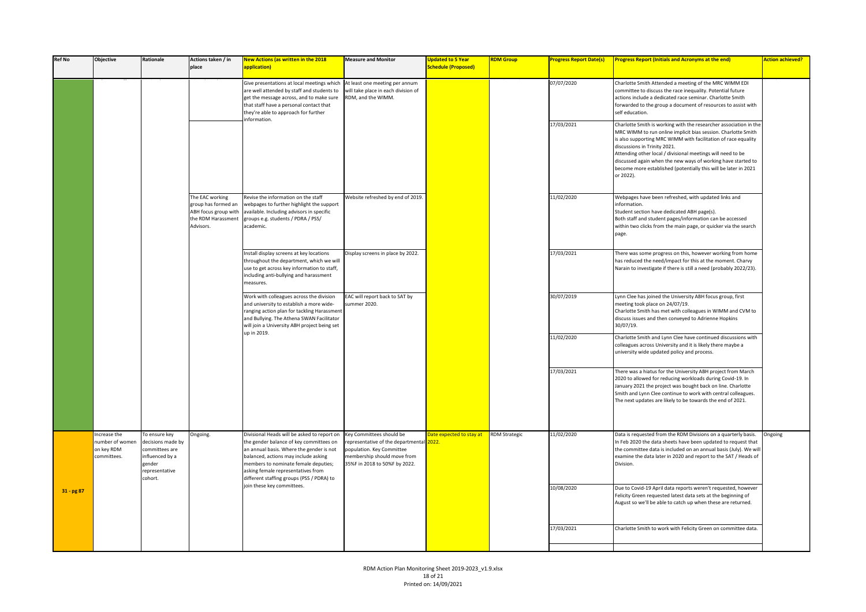| <b>Ref No</b> | <b>Objective</b>                                             | Rationale                                                                                                     | Actions taken / in<br>place                                                                       | New Actions (as written in the 2018<br>application)                                                                                                                                                                                                                                                   | <b>Measure and Monitor</b>                                                                                                                                        | <b>Updated to 5 Year</b><br><b>Schedule (Proposed)</b> | <b>RDM Group</b> | <b>Progress Report Date(s)</b> | <b>Progress Report (Initials and Acronyms at the end)</b>                                                                                                                                                                                                                                                                                                                                                                                           | <b>Action achieved?</b> |
|---------------|--------------------------------------------------------------|---------------------------------------------------------------------------------------------------------------|---------------------------------------------------------------------------------------------------|-------------------------------------------------------------------------------------------------------------------------------------------------------------------------------------------------------------------------------------------------------------------------------------------------------|-------------------------------------------------------------------------------------------------------------------------------------------------------------------|--------------------------------------------------------|------------------|--------------------------------|-----------------------------------------------------------------------------------------------------------------------------------------------------------------------------------------------------------------------------------------------------------------------------------------------------------------------------------------------------------------------------------------------------------------------------------------------------|-------------------------|
|               |                                                              |                                                                                                               |                                                                                                   | Give presentations at local meetings which<br>are well attended by staff and students to<br>get the message across, and to make sure<br>that staff have a personal contact that<br>they're able to approach for further<br>nformation.                                                                | At least one meeting per annum<br>will take place in each division of<br>RDM, and the WIMM.                                                                       |                                                        |                  | 07/07/2020                     | Charlotte Smith Attended a meeting of the MRC WIMM EDI<br>committee to discuss the race inequality. Potential future<br>actions include a dedicated race seminar. Charlotte Smith<br>forwarded to the group a document of resources to assist with<br>self education.                                                                                                                                                                               |                         |
|               |                                                              |                                                                                                               |                                                                                                   |                                                                                                                                                                                                                                                                                                       |                                                                                                                                                                   |                                                        |                  | 17/03/2021                     | Charlotte Smith is working with the researcher association in the<br>MRC WIMM to run online implicit bias session. Charlotte Smith<br>is also supporting MRC WIMM with facilitation of race equality<br>discussions in Trinity 2021.<br>Attending other local / divisional meetings will need to be<br>discussed again when the new ways of working have started to<br>become more established (potentially this will be later in 2021<br>or 2022). |                         |
|               |                                                              |                                                                                                               | The EAC working<br>group has formed an<br>ABH focus group with<br>the RDM Harassment<br>Advisors. | Revise the information on the staff<br>webpages to further highlight the support<br>available. Including advisors in specific<br>groups e.g. students / PDRA / PSS/<br>academic.                                                                                                                      | Website refreshed by end of 2019.                                                                                                                                 |                                                        |                  | 11/02/2020                     | Webpages have been refreshed, with updated links and<br>information.<br>Student section have dedicated ABH page(s).<br>Both staff and student pages/information can be accessed<br>within two clicks from the main page, or quicker via the search<br>page.                                                                                                                                                                                         |                         |
|               |                                                              |                                                                                                               |                                                                                                   | Install display screens at key locations<br>throughout the department, which we will<br>use to get across key information to staff,<br>including anti-bullying and harassment<br>measures.                                                                                                            | Display screens in place by 2022.                                                                                                                                 |                                                        |                  | 17/03/2021                     | There was some progress on this, however working from home<br>has reduced the need/impact for this at the moment. Charvy<br>Narain to investigate if there is still a need (probably 2022/23).                                                                                                                                                                                                                                                      |                         |
|               |                                                              |                                                                                                               |                                                                                                   | Work with colleagues across the division<br>and university to establish a more wide-<br>ranging action plan for tackling Harassment<br>and Bullying. The Athena SWAN Facilitator<br>will join a University ABH project being set<br>up in 2019.                                                       | EAC will report back to SAT by<br>summer 2020.                                                                                                                    |                                                        |                  | 30/07/2019                     | Lynn Clee has joined the University ABH focus group, first<br>meeting took place on 24/07/19.<br>Charlotte Smith has met with colleagues in WIMM and CVM to<br>discuss issues and then conveyed to Adrienne Hopkins<br>30/07/19.                                                                                                                                                                                                                    |                         |
|               |                                                              |                                                                                                               |                                                                                                   |                                                                                                                                                                                                                                                                                                       |                                                                                                                                                                   |                                                        |                  | 11/02/2020                     | Charlotte Smith and Lynn Clee have continued discussions with<br>colleagues across University and it is likely there maybe a<br>university wide updated policy and process.                                                                                                                                                                                                                                                                         |                         |
|               |                                                              |                                                                                                               |                                                                                                   |                                                                                                                                                                                                                                                                                                       |                                                                                                                                                                   |                                                        |                  | 17/03/2021                     | There was a hiatus for the University ABH project from March<br>2020 to allowed for reducing workloads during Covid-19. In<br>January 2021 the project was bought back on line. Charlotte<br>Smith and Lynn Clee continue to work with central colleagues.<br>The next updates are likely to be towards the end of 2021.                                                                                                                            |                         |
|               | Increase the<br>number of women<br>on key RDM<br>committees. | To ensure key<br>decisions made by<br>committees are<br>influenced by a<br>gender<br>epresentative<br>cohort. | Ongoing.                                                                                          | Divisional Heads will be asked to report on<br>the gender balance of key committees on<br>an annual basis. Where the gender is not<br>balanced, actions may include asking<br>members to nominate female deputies;<br>asking female representatives from<br>different staffing groups (PSS / PDRA) to | Key Committees should be<br>representative of the departmental 2022.<br>population. Key Committee<br>membership should move from<br>35%F in 2018 to 50%F by 2022. | ate expected to stay at RDM Strategic                  |                  | 11/02/2020                     | Data is requested from the RDM Divisions on a quarterly basis.<br>In Feb 2020 the data sheets have been updated to request that<br>the committee data is included on an annual basis (July). We will<br>examine the data later in 2020 and report to the SAT / Heads of<br>Division.                                                                                                                                                                | Ongoing                 |
| $31 - pg87$   |                                                              |                                                                                                               |                                                                                                   | join these key committees.                                                                                                                                                                                                                                                                            |                                                                                                                                                                   |                                                        |                  | 10/08/2020                     | Due to Covid-19 April data reports weren't requested, however<br>Felicity Green requested latest data sets at the beginning of<br>August so we'll be able to catch up when these are returned.                                                                                                                                                                                                                                                      |                         |
|               |                                                              |                                                                                                               |                                                                                                   |                                                                                                                                                                                                                                                                                                       |                                                                                                                                                                   |                                                        |                  | 17/03/2021                     | Charlotte Smith to work with Felicity Green on committee data.                                                                                                                                                                                                                                                                                                                                                                                      |                         |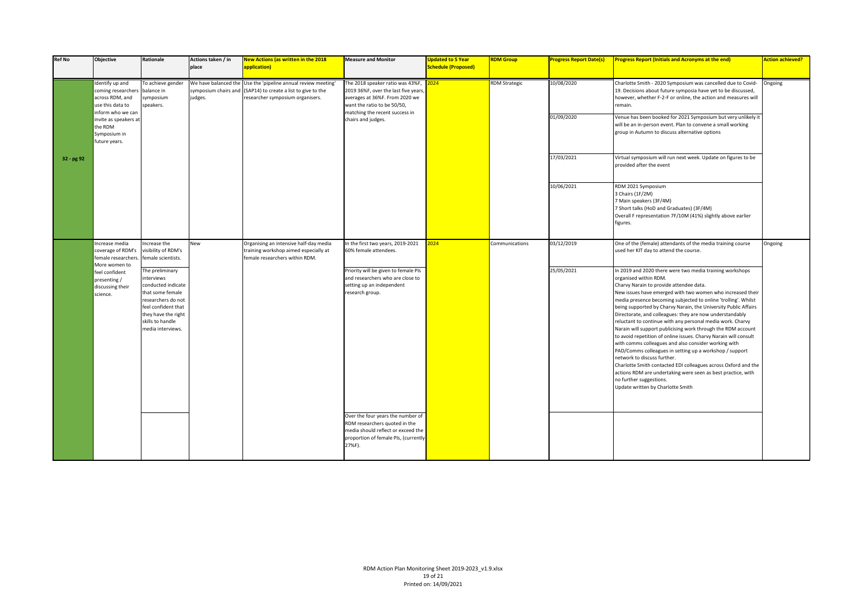| <b>Ref No</b> | <b>Objective</b>                                                                                                                                                       | Rationale                                                                                                                                                                           | Actions taken / in<br>place | <b>New Actions (as written in the 2018</b><br>application)                                                                                                        | <b>Measure and Monitor</b>                                                                                                                                                                        | <b>Updated to 5 Year</b><br><b>Schedule (Proposed)</b> | <b>RDM Group</b>     | <b>Progress Report Date(s)</b> | <b>Progress Report (Initials and Acronyms at the end)</b>                                                                                                                                                                                                                                                                                                                                                                                                                                                                                                                                                                                                                                                                                                                                                                                                                                                                                         | <b>Action achieved?</b> |
|---------------|------------------------------------------------------------------------------------------------------------------------------------------------------------------------|-------------------------------------------------------------------------------------------------------------------------------------------------------------------------------------|-----------------------------|-------------------------------------------------------------------------------------------------------------------------------------------------------------------|---------------------------------------------------------------------------------------------------------------------------------------------------------------------------------------------------|--------------------------------------------------------|----------------------|--------------------------------|---------------------------------------------------------------------------------------------------------------------------------------------------------------------------------------------------------------------------------------------------------------------------------------------------------------------------------------------------------------------------------------------------------------------------------------------------------------------------------------------------------------------------------------------------------------------------------------------------------------------------------------------------------------------------------------------------------------------------------------------------------------------------------------------------------------------------------------------------------------------------------------------------------------------------------------------------|-------------------------|
|               | Identify up and<br>coming researchers<br>across RDM, and<br>use this data to<br>inform who we can<br>invite as speakers at<br>the RDM<br>Symposium in<br>future years. | To achieve gender<br>palance in<br>ymposium<br>speakers.                                                                                                                            | judges.                     | We have balanced the Use the 'pipeline annual review meeting'<br>symposium chairs and (SAP14) to create a list to give to the<br>researcher symposium organisers. | The 2018 speaker ratio was 43%F,<br>2019 36%F, over the last five years,<br>averages at 36%F. From 2020 we<br>want the ratio to be 50/50,<br>matching the recent success in<br>chairs and judges. | $2024 -$                                               | <b>RDM Strategic</b> | 10/08/2020<br>01/09/2020       | Charlotte Smith - 2020 Symposium was cancelled due to Covid-<br>19. Decisions about future symposia have yet to be discussed,<br>however, whether F-2-F or online, the action and measures will<br>remain.<br>Venue has been booked for 2021 Symposium but very unlikely it<br>will be an in-person event. Plan to convene a small working<br>group in Autumn to discuss alternative options                                                                                                                                                                                                                                                                                                                                                                                                                                                                                                                                                      | Ongoing                 |
| 32 - pg 92    |                                                                                                                                                                        |                                                                                                                                                                                     |                             |                                                                                                                                                                   |                                                                                                                                                                                                   |                                                        |                      | 17/03/2021                     | Virtual symposium will run next week. Update on figures to be<br>provided after the event                                                                                                                                                                                                                                                                                                                                                                                                                                                                                                                                                                                                                                                                                                                                                                                                                                                         |                         |
|               |                                                                                                                                                                        |                                                                                                                                                                                     |                             |                                                                                                                                                                   |                                                                                                                                                                                                   |                                                        |                      | 10/06/2021                     | RDM 2021 Symposium<br>3 Chairs (1F/2M)<br>7 Main speakers (3F/4M)<br>7 Short talks (HoD and Graduates) (3F/4M)<br>Overall F representation 7F/10M (41%) slightly above earlier<br>figures.                                                                                                                                                                                                                                                                                                                                                                                                                                                                                                                                                                                                                                                                                                                                                        |                         |
|               | Increase media<br>coverage of RDM's<br>female researchers<br>More women to                                                                                             | ncrease the<br>visibility of RDM's<br>emale scientists.                                                                                                                             | New                         | Organising an intensive half-day media<br>training workshop aimed especially at<br>female researchers within RDM.                                                 | In the first two years, 2019-2021<br>60% female attendees.                                                                                                                                        | 024                                                    | Communications       | 03/12/2019                     | One of the (female) attendants of the media training course<br>used her KIT day to attend the course.                                                                                                                                                                                                                                                                                                                                                                                                                                                                                                                                                                                                                                                                                                                                                                                                                                             | Ongoing                 |
|               | feel confident<br>presenting /<br>discussing their<br>science.                                                                                                         | The preliminary<br>nterviews<br>conducted indicate<br>that some female<br>researchers do not<br>feel confident that<br>they have the right<br>skills to handle<br>media interviews. |                             |                                                                                                                                                                   | Priority will be given to female PIs<br>and researchers who are close to<br>setting up an independent<br>research group.                                                                          |                                                        |                      | 25/05/2021                     | In 2019 and 2020 there were two media training workshops<br>organised within RDM.<br>Charvy Narain to provide attendee data.<br>New issues have emerged with two women who increased their<br>media presence becoming subjected to online 'trolling'. Whilst<br>being supported by Charvy Narain, the University Public Affairs<br>Directorate, and colleagues: they are now understandably<br>reluctant to continue with any personal media work. Charvy<br>Narain will support publicising work through the RDM account<br>to avoid repetition of online issues. Charvy Narain will consult<br>with comms colleagues and also consider working with<br>PAD/Comms colleagues in setting up a workshop / support<br>network to discuss further.<br>Charlotte Smith contacted EDI colleagues across Oxford and the<br>actions RDM are undertaking were seen as best practice, with<br>no further suggestions.<br>Update written by Charlotte Smith |                         |
|               |                                                                                                                                                                        |                                                                                                                                                                                     |                             |                                                                                                                                                                   | Over the four years the number of<br>RDM researchers quoted in the<br>media should reflect or exceed the<br>proportion of female PIs, (currently<br>27%F).                                        |                                                        |                      |                                |                                                                                                                                                                                                                                                                                                                                                                                                                                                                                                                                                                                                                                                                                                                                                                                                                                                                                                                                                   |                         |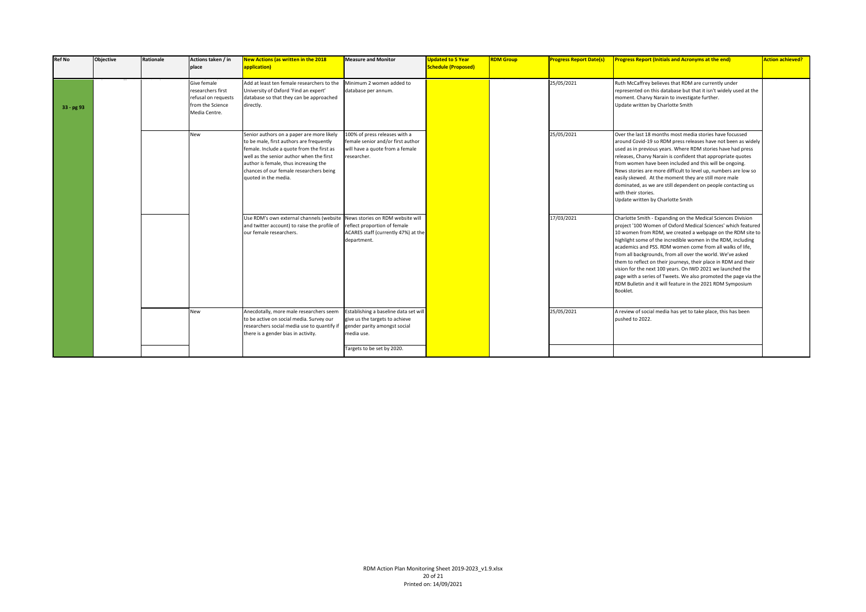| <b>Ref No</b> | <b>Objective</b> | Rationale | Actions taken / in<br>place                                                                  | <b>New Actions (as written in the 2018</b><br>application)                                                                                                                                                                                                                                 | <b>Measure and Monitor</b>                                                                                                                          | <b>Updated to 5 Year</b><br><b>Schedule (Proposed)</b> | <b>RDM Group</b> | <b>Progress Report Date(s)</b> | <b>Progress Report (Initials and Acronyms at the end)</b>                                                                                                                                                                                                                                                                                                                                                                                                                                                                                                                                                                                                            | <b>Action achieved?</b> |
|---------------|------------------|-----------|----------------------------------------------------------------------------------------------|--------------------------------------------------------------------------------------------------------------------------------------------------------------------------------------------------------------------------------------------------------------------------------------------|-----------------------------------------------------------------------------------------------------------------------------------------------------|--------------------------------------------------------|------------------|--------------------------------|----------------------------------------------------------------------------------------------------------------------------------------------------------------------------------------------------------------------------------------------------------------------------------------------------------------------------------------------------------------------------------------------------------------------------------------------------------------------------------------------------------------------------------------------------------------------------------------------------------------------------------------------------------------------|-------------------------|
| 33 - pg 93    |                  |           | Give female<br>researchers first<br>refusal on requests<br>from the Science<br>Media Centre. | Add at least ten female researchers to the<br>University of Oxford 'Find an expert'<br>database so that they can be approached<br>directly.                                                                                                                                                | Minimum 2 women added to<br>database per annum.                                                                                                     |                                                        |                  | 25/05/2021                     | Ruth McCaffrey believes that RDM are currently under<br>represented on this database but that it isn't widely used at the<br>moment. Charvy Narain to investigate further.<br>Update written by Charlotte Smith                                                                                                                                                                                                                                                                                                                                                                                                                                                      |                         |
|               |                  |           | New                                                                                          | Senior authors on a paper are more likely<br>to be male, first authors are frequently<br>female. Include a quote from the first as<br>well as the senior author when the first<br>author is female, thus increasing the<br>chances of our female researchers being<br>quoted in the media. | 100% of press releases with a<br>female senior and/or first author<br>will have a quote from a female<br>researcher.                                |                                                        |                  | 25/05/2021                     | Over the last 18 months most media stories have focussed<br>around Covid-19 so RDM press releases have not been as widely<br>used as in previous years. Where RDM stories have had press<br>releases, Charvy Narain is confident that appropriate quotes<br>from women have been included and this will be ongoing.<br>News stories are more difficult to level up, numbers are low so<br>easily skewed. At the moment they are still more male<br>dominated, as we are still dependent on people contacting us<br>with their stories.<br>Update written by Charlotte Smith                                                                                          |                         |
|               |                  |           |                                                                                              | Use RDM's own external channels (website News stories on RDM website will<br>and twitter account) to raise the profile of<br>our female researchers.                                                                                                                                       | reflect proportion of female<br>ACARES staff (currently 47%) at the<br>department.                                                                  |                                                        |                  | 17/03/2021                     | Charlotte Smith - Expanding on the Medical Sciences Division<br>project '100 Women of Oxford Medical Sciences' which featured<br>10 women from RDM, we created a webpage on the RDM site to<br>highlight some of the incredible women in the RDM, including<br>academics and PSS. RDM women come from all walks of life.<br>from all backgrounds, from all over the world. We've asked<br>them to reflect on their journeys, their place in RDM and their<br>vision for the next 100 years. On IWD 2021 we launched the<br>page with a series of Tweets. We also promoted the page via the<br>RDM Bulletin and it will feature in the 2021 RDM Symposium<br>Booklet. |                         |
|               |                  |           | New                                                                                          | Anecdotally, more male researchers seem<br>to be active on social media. Survey our<br>researchers social media use to quantify if<br>there is a gender bias in activity.                                                                                                                  | Establishing a baseline data set will<br>give us the targets to achieve<br>gender parity amongst social<br>media use.<br>Targets to be set by 2020. |                                                        |                  | 25/05/2021                     | A review of social media has yet to take place, this has been<br>pushed to 2022.                                                                                                                                                                                                                                                                                                                                                                                                                                                                                                                                                                                     |                         |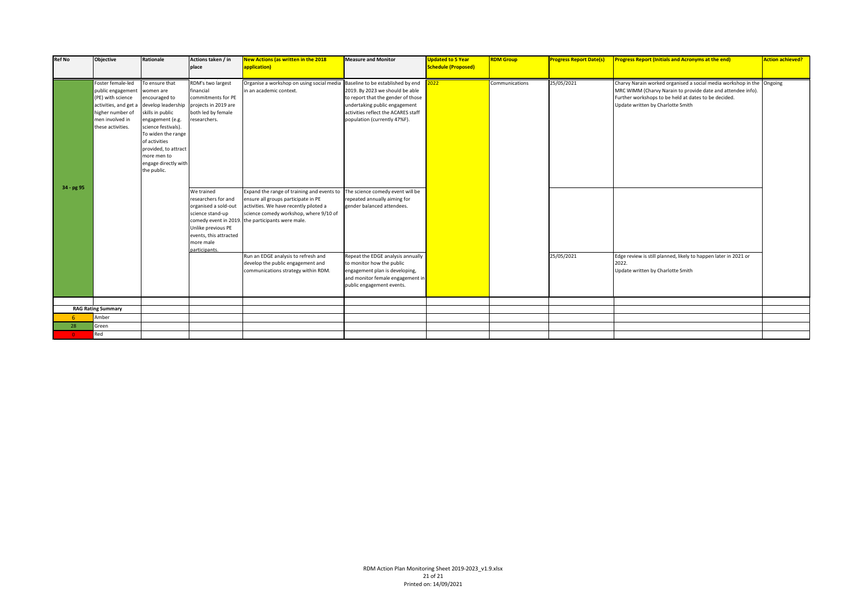| <b>Ref No</b> | Objective                                                                                                                                        | Rationale                                                                                                                                                                                                                                              | Actions taken / in<br>place                                                                                                                                 | <b>New Actions (as written in the 2018</b><br>application)                                                                                                                                                                 | <b>Measure and Monitor</b>                                                                                                                                                                                         | <b>Updated to 5 Year</b><br><b>Schedule (Proposed)</b> | <b>RDM Group</b> | <b>Progress Report Date(s)</b> | <b>Progress Report (Initials and Acronyms at the end)</b>                                                                                                                                                                         | <b>Action achieved?</b> |
|---------------|--------------------------------------------------------------------------------------------------------------------------------------------------|--------------------------------------------------------------------------------------------------------------------------------------------------------------------------------------------------------------------------------------------------------|-------------------------------------------------------------------------------------------------------------------------------------------------------------|----------------------------------------------------------------------------------------------------------------------------------------------------------------------------------------------------------------------------|--------------------------------------------------------------------------------------------------------------------------------------------------------------------------------------------------------------------|--------------------------------------------------------|------------------|--------------------------------|-----------------------------------------------------------------------------------------------------------------------------------------------------------------------------------------------------------------------------------|-------------------------|
| 34 - pg 95    | Foster female-led<br>public engagement<br>(PE) with science<br>activities, and get a<br>higher number of<br>men involved in<br>these activities. | To ensure that<br>women are<br>encouraged to<br>develop leadership<br>skills in public<br>engagement (e.g.<br>science festivals).<br>To widen the range<br>of activities<br>provided, to attract<br>more men to<br>engage directly with<br>the public. | RDM's two largest<br>financial<br>commitments for PE<br>projects in 2019 are<br>both led by female<br>researchers.                                          | Organise a workshop on using social media<br>in an academic context.                                                                                                                                                       | Baseline to be established by end<br>2019. By 2023 we should be able<br>to report that the gender of those<br>undertaking public engagement<br>activities reflect the ACARES staff<br>population (currently 47%F). | 022                                                    | Communications   | 25/05/2021                     | Charvy Narain worked organised a social media workshop in the Ongoing<br>MRC WIMM (Charvy Narain to provide date and attendee info).<br>Further workshops to be held at dates to be decided.<br>Update written by Charlotte Smith |                         |
|               |                                                                                                                                                  |                                                                                                                                                                                                                                                        | We trained<br>researchers for and<br>organised a sold-out<br>science stand-up<br>Unlike previous PE<br>events, this attracted<br>more male<br>participants. | Expand the range of training and events to<br>ensure all groups participate in PE<br>activities. We have recently piloted a<br>science comedy workshop, where 9/10 of<br>comedy event in 2019. the participants were male. | The science comedy event will be<br>repeated annually aiming for<br>gender balanced attendees.                                                                                                                     |                                                        |                  |                                |                                                                                                                                                                                                                                   |                         |
|               |                                                                                                                                                  |                                                                                                                                                                                                                                                        |                                                                                                                                                             | Run an EDGE analysis to refresh and<br>develop the public engagement and<br>communications strategy within RDM.                                                                                                            | Repeat the EDGE analysis annually<br>to monitor how the public<br>engagement plan is developing,<br>and monitor female engagement in<br>public engagement events.                                                  |                                                        |                  | 25/05/2021                     | Edge review is still planned, likely to happen later in 2021 or<br>2022.<br>Update written by Charlotte Smith                                                                                                                     |                         |
|               |                                                                                                                                                  |                                                                                                                                                                                                                                                        |                                                                                                                                                             |                                                                                                                                                                                                                            |                                                                                                                                                                                                                    |                                                        |                  |                                |                                                                                                                                                                                                                                   |                         |
|               | <b>RAG Rating Summary</b>                                                                                                                        |                                                                                                                                                                                                                                                        |                                                                                                                                                             |                                                                                                                                                                                                                            |                                                                                                                                                                                                                    |                                                        |                  |                                |                                                                                                                                                                                                                                   |                         |
|               | Amber                                                                                                                                            |                                                                                                                                                                                                                                                        |                                                                                                                                                             |                                                                                                                                                                                                                            |                                                                                                                                                                                                                    |                                                        |                  |                                |                                                                                                                                                                                                                                   |                         |
| 28            | Green                                                                                                                                            |                                                                                                                                                                                                                                                        |                                                                                                                                                             |                                                                                                                                                                                                                            |                                                                                                                                                                                                                    |                                                        |                  |                                |                                                                                                                                                                                                                                   |                         |
| $\Omega$      | Red                                                                                                                                              |                                                                                                                                                                                                                                                        |                                                                                                                                                             |                                                                                                                                                                                                                            |                                                                                                                                                                                                                    |                                                        |                  |                                |                                                                                                                                                                                                                                   |                         |